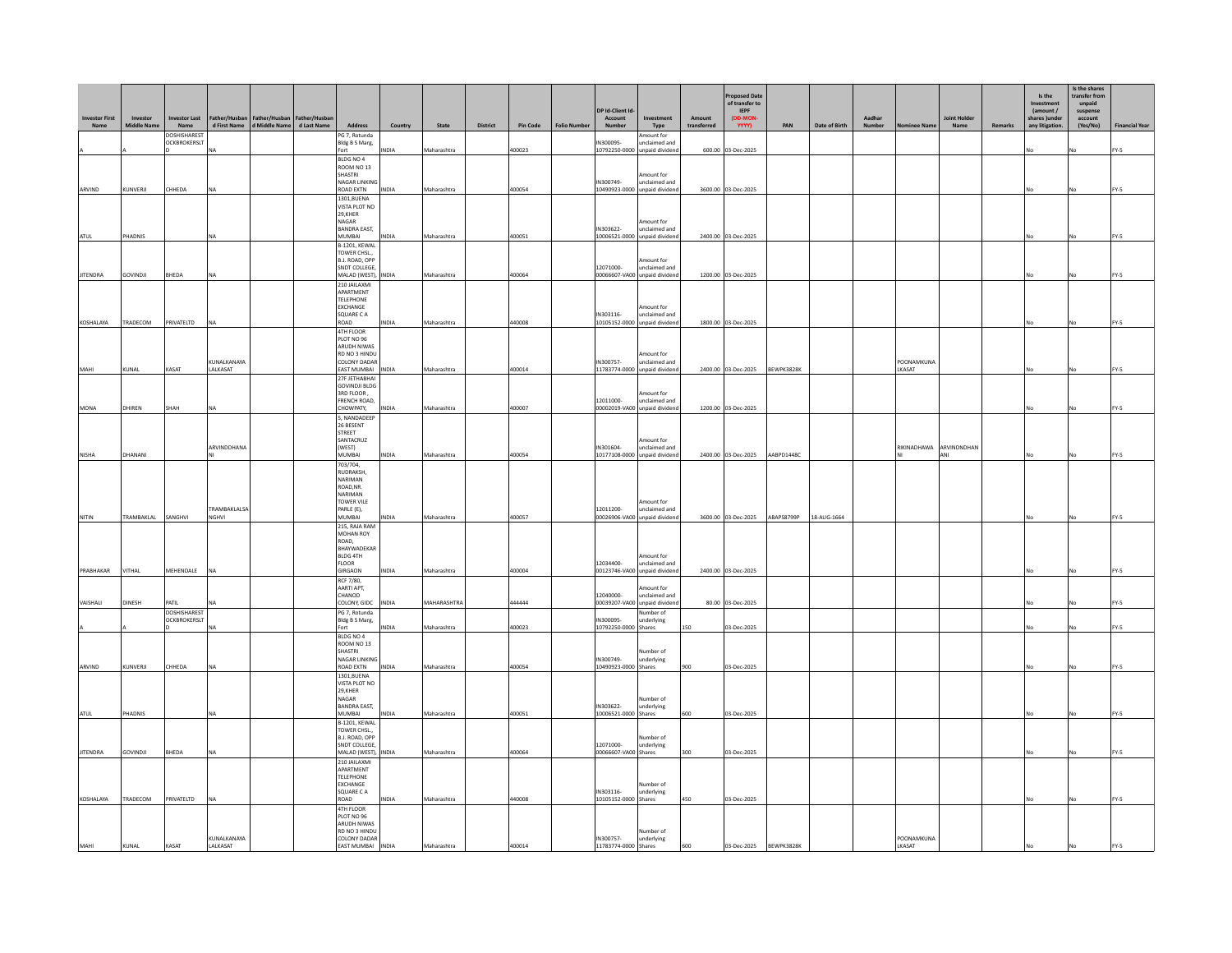| d First Name   d Middle Name  <br><b>DOSHISHAREST</b><br>PG 7, Rotunda<br>Amount for<br>OCKBROKERSLT<br>Bldg B S Marg,<br>N300095-<br>unclaimed and<br>NDIA<br>Maharashtra<br>400023<br>10792250-0000 unpaid dividend<br>600.00 03-Dec-2025<br>FY-5<br>Fort<br>No<br>No<br>BLDG NO 4<br>ROOM NO 13<br>SHASTRI<br>Amount for<br>IN300749-<br><b>NAGAR LINKING</b><br>unclaimed and<br>ARVIND<br>KUNVERJI<br>HHEDA<br>Maharashtra<br>400054<br>10490923-0000 unpaid dividend<br>3600.00 03-Dec-2025<br>ROAD EXTN<br>INDIA<br>FY-5<br>NA<br>1301, BUENA<br>VISTA PLOT NO<br>29,KHER<br><b>NAGAR</b><br>mount for<br>IN303622-<br><b>BANDRA EAST,</b><br>unclaimed and<br>ATUL<br>PHADNIS<br><b>MUMBAI</b><br>INDIA<br>Maharashtra<br>400051<br>10006521-0000 unpaid dividend<br>2400.00 03-Dec-2025<br>FY-5<br><b>B-1201, KEWAL</b><br>TOWER CHSL.,<br>B.J. ROAD, OPF<br>mount for<br>SNDT COLLEGE,<br>12071000-<br>unclaimed and<br><b>JITENDRA</b><br><b>GOVINDJI</b><br>BHEDA<br>MALAD (WEST),<br>INDIA<br>Maharashtra<br>400064<br>00066607-VA00<br>unpaid divident<br>1200.00 03-Dec-2025<br>FY-5<br><b>210 IAII AXMI</b><br>APARTMENT<br><b>TELEPHONE</b><br><b>EXCHANGE</b><br>Amount for<br>SQUARE C A<br>IN303116-<br>unclaimed and<br>KOSHALAYA<br>TRADECOM<br>PRIVATELTD<br>ROAD<br>Maharashtra<br>440008<br>10105152-0000 unpaid dividend<br>1800.00 03-Dec-2025<br>NDIA<br>FY-5<br><b>NA</b><br>4TH FLOOR<br>PLOT NO 96<br><b>ARUDH NIWAS</b><br><b>RD NO 3 HINDU</b><br>Amount for | nvestor First | Investor           | <b>Investor Last</b> | Father/Husban | Father/Husban | Father/Husbar |              |         |       |          |                 |                    | DP Id-Client Id<br><b>Account</b> | Investment    | Amount      | roposed Date<br>of transfer to<br><b>IFPF</b><br>(DD-MON |     |               | Aadhar |            | <b>Joint Holder</b> |         | Is the<br>Investment<br>(amount /<br>shares )unde | Is the shares<br>transfer from<br>unpaid<br>suspense<br>account |                     |
|-----------------------------------------------------------------------------------------------------------------------------------------------------------------------------------------------------------------------------------------------------------------------------------------------------------------------------------------------------------------------------------------------------------------------------------------------------------------------------------------------------------------------------------------------------------------------------------------------------------------------------------------------------------------------------------------------------------------------------------------------------------------------------------------------------------------------------------------------------------------------------------------------------------------------------------------------------------------------------------------------------------------------------------------------------------------------------------------------------------------------------------------------------------------------------------------------------------------------------------------------------------------------------------------------------------------------------------------------------------------------------------------------------------------------------------------------------------------------------------------------|---------------|--------------------|----------------------|---------------|---------------|---------------|--------------|---------|-------|----------|-----------------|--------------------|-----------------------------------|---------------|-------------|----------------------------------------------------------|-----|---------------|--------|------------|---------------------|---------|---------------------------------------------------|-----------------------------------------------------------------|---------------------|
|                                                                                                                                                                                                                                                                                                                                                                                                                                                                                                                                                                                                                                                                                                                                                                                                                                                                                                                                                                                                                                                                                                                                                                                                                                                                                                                                                                                                                                                                                               | Name          | <b>Middle Name</b> | Name                 |               |               | d Last Name   | Address      | Country | State | District | <b>Pin Code</b> | <b>Folio Numbe</b> | Number                            | Type          | transferred | <b>YYYY)</b>                                             | PAN | Date of Birth | Number | iee Na     | Name                | Remarks | any litigation                                    | (Yes/No)                                                        | <b>Financial Ye</b> |
|                                                                                                                                                                                                                                                                                                                                                                                                                                                                                                                                                                                                                                                                                                                                                                                                                                                                                                                                                                                                                                                                                                                                                                                                                                                                                                                                                                                                                                                                                               |               |                    |                      |               |               |               |              |         |       |          |                 |                    |                                   |               |             |                                                          |     |               |        |            |                     |         |                                                   |                                                                 |                     |
|                                                                                                                                                                                                                                                                                                                                                                                                                                                                                                                                                                                                                                                                                                                                                                                                                                                                                                                                                                                                                                                                                                                                                                                                                                                                                                                                                                                                                                                                                               |               |                    |                      |               |               |               |              |         |       |          |                 |                    |                                   |               |             |                                                          |     |               |        |            |                     |         |                                                   |                                                                 |                     |
|                                                                                                                                                                                                                                                                                                                                                                                                                                                                                                                                                                                                                                                                                                                                                                                                                                                                                                                                                                                                                                                                                                                                                                                                                                                                                                                                                                                                                                                                                               |               |                    |                      |               |               |               |              |         |       |          |                 |                    |                                   |               |             |                                                          |     |               |        |            |                     |         |                                                   |                                                                 |                     |
|                                                                                                                                                                                                                                                                                                                                                                                                                                                                                                                                                                                                                                                                                                                                                                                                                                                                                                                                                                                                                                                                                                                                                                                                                                                                                                                                                                                                                                                                                               |               |                    |                      |               |               |               |              |         |       |          |                 |                    |                                   |               |             |                                                          |     |               |        |            |                     |         |                                                   |                                                                 |                     |
|                                                                                                                                                                                                                                                                                                                                                                                                                                                                                                                                                                                                                                                                                                                                                                                                                                                                                                                                                                                                                                                                                                                                                                                                                                                                                                                                                                                                                                                                                               |               |                    |                      |               |               |               |              |         |       |          |                 |                    |                                   |               |             |                                                          |     |               |        |            |                     |         |                                                   |                                                                 |                     |
|                                                                                                                                                                                                                                                                                                                                                                                                                                                                                                                                                                                                                                                                                                                                                                                                                                                                                                                                                                                                                                                                                                                                                                                                                                                                                                                                                                                                                                                                                               |               |                    |                      |               |               |               |              |         |       |          |                 |                    |                                   |               |             |                                                          |     |               |        |            |                     |         |                                                   |                                                                 |                     |
|                                                                                                                                                                                                                                                                                                                                                                                                                                                                                                                                                                                                                                                                                                                                                                                                                                                                                                                                                                                                                                                                                                                                                                                                                                                                                                                                                                                                                                                                                               |               |                    |                      |               |               |               |              |         |       |          |                 |                    |                                   |               |             |                                                          |     |               |        |            |                     |         |                                                   |                                                                 |                     |
|                                                                                                                                                                                                                                                                                                                                                                                                                                                                                                                                                                                                                                                                                                                                                                                                                                                                                                                                                                                                                                                                                                                                                                                                                                                                                                                                                                                                                                                                                               |               |                    |                      |               |               |               |              |         |       |          |                 |                    |                                   |               |             |                                                          |     |               |        |            |                     |         |                                                   |                                                                 |                     |
|                                                                                                                                                                                                                                                                                                                                                                                                                                                                                                                                                                                                                                                                                                                                                                                                                                                                                                                                                                                                                                                                                                                                                                                                                                                                                                                                                                                                                                                                                               |               |                    |                      |               |               |               |              |         |       |          |                 |                    |                                   |               |             |                                                          |     |               |        |            |                     |         |                                                   |                                                                 |                     |
|                                                                                                                                                                                                                                                                                                                                                                                                                                                                                                                                                                                                                                                                                                                                                                                                                                                                                                                                                                                                                                                                                                                                                                                                                                                                                                                                                                                                                                                                                               |               |                    |                      |               |               |               |              |         |       |          |                 |                    |                                   |               |             |                                                          |     |               |        |            |                     |         |                                                   |                                                                 |                     |
|                                                                                                                                                                                                                                                                                                                                                                                                                                                                                                                                                                                                                                                                                                                                                                                                                                                                                                                                                                                                                                                                                                                                                                                                                                                                                                                                                                                                                                                                                               |               |                    |                      |               |               |               |              |         |       |          |                 |                    |                                   |               |             |                                                          |     |               |        |            |                     |         |                                                   |                                                                 |                     |
|                                                                                                                                                                                                                                                                                                                                                                                                                                                                                                                                                                                                                                                                                                                                                                                                                                                                                                                                                                                                                                                                                                                                                                                                                                                                                                                                                                                                                                                                                               |               |                    |                      |               |               |               |              |         |       |          |                 |                    |                                   |               |             |                                                          |     |               |        |            |                     |         |                                                   |                                                                 |                     |
|                                                                                                                                                                                                                                                                                                                                                                                                                                                                                                                                                                                                                                                                                                                                                                                                                                                                                                                                                                                                                                                                                                                                                                                                                                                                                                                                                                                                                                                                                               |               |                    |                      | KUNALKANAYA   |               |               | COLONY DADAR |         |       |          |                 |                    | IN300757-                         | unclaimed and |             |                                                          |     |               |        | POONAMKUNA |                     |         |                                                   |                                                                 |                     |
| KASAT<br>LAI KASAT<br><b>FAST MUMRAL</b><br>400014<br>11783774-0000 unpaid dividend<br>2400.00 03-Dec-2025<br>RFWPK3828K<br>MAHI<br>KUNAL<br><b>INDIA</b><br>Maharashtra<br><b>I KASAT</b><br>FY-5<br>27F JETHABHAI                                                                                                                                                                                                                                                                                                                                                                                                                                                                                                                                                                                                                                                                                                                                                                                                                                                                                                                                                                                                                                                                                                                                                                                                                                                                           |               |                    |                      |               |               |               |              |         |       |          |                 |                    |                                   |               |             |                                                          |     |               |        |            |                     |         |                                                   |                                                                 |                     |
| <b>GOVINDJI BLDG</b><br>3RD FLOOR,<br>Amount for<br>FRENCH ROAD,<br>12011000-<br>unclaimed and                                                                                                                                                                                                                                                                                                                                                                                                                                                                                                                                                                                                                                                                                                                                                                                                                                                                                                                                                                                                                                                                                                                                                                                                                                                                                                                                                                                                |               |                    |                      |               |               |               |              |         |       |          |                 |                    |                                   |               |             |                                                          |     |               |        |            |                     |         |                                                   |                                                                 |                     |
| MONA<br>DHIREN<br>SHAH<br>CHOWPATY,<br>INDIA<br>Maharashtra<br>400007<br>00002019-VA00 unpaid divident<br>1200.00 03-Dec-2025<br>FY-5<br>5, NANDADEEP                                                                                                                                                                                                                                                                                                                                                                                                                                                                                                                                                                                                                                                                                                                                                                                                                                                                                                                                                                                                                                                                                                                                                                                                                                                                                                                                         |               |                    |                      |               |               |               |              |         |       |          |                 |                    |                                   |               |             |                                                          |     |               |        |            |                     |         |                                                   |                                                                 |                     |
| 26 BESENT<br>STREET                                                                                                                                                                                                                                                                                                                                                                                                                                                                                                                                                                                                                                                                                                                                                                                                                                                                                                                                                                                                                                                                                                                                                                                                                                                                                                                                                                                                                                                                           |               |                    |                      |               |               |               |              |         |       |          |                 |                    |                                   |               |             |                                                          |     |               |        |            |                     |         |                                                   |                                                                 |                     |
| SANTACRUZ<br>Amount for<br>ARVINDDHANA<br>(WEST)<br>IN301604-<br>unclaimed and<br>RIKINADHAWA<br>ARVINDNDHAN                                                                                                                                                                                                                                                                                                                                                                                                                                                                                                                                                                                                                                                                                                                                                                                                                                                                                                                                                                                                                                                                                                                                                                                                                                                                                                                                                                                  |               |                    |                      |               |               |               |              |         |       |          |                 |                    |                                   |               |             |                                                          |     |               |        |            |                     |         |                                                   |                                                                 |                     |
| NISHA<br>DHANANI<br>MUMBAI<br>INDIA<br>Maharashtra<br>400054<br>10177108-0000<br>unpaid dividend<br>2400.00 03-Dec-2025<br>AABPD1448C<br>ANI<br>FY-5<br>No<br>703/704,                                                                                                                                                                                                                                                                                                                                                                                                                                                                                                                                                                                                                                                                                                                                                                                                                                                                                                                                                                                                                                                                                                                                                                                                                                                                                                                        |               |                    |                      |               |               |               |              |         |       |          |                 |                    |                                   |               |             |                                                          |     |               |        |            |                     |         |                                                   |                                                                 |                     |
| <b>RUDRAKSH</b><br><b>NARIMAN</b><br>ROAD, NR.                                                                                                                                                                                                                                                                                                                                                                                                                                                                                                                                                                                                                                                                                                                                                                                                                                                                                                                                                                                                                                                                                                                                                                                                                                                                                                                                                                                                                                                |               |                    |                      |               |               |               |              |         |       |          |                 |                    |                                   |               |             |                                                          |     |               |        |            |                     |         |                                                   |                                                                 |                     |
| <b>NARIMAN</b><br>TOWER VILE<br>Amount for                                                                                                                                                                                                                                                                                                                                                                                                                                                                                                                                                                                                                                                                                                                                                                                                                                                                                                                                                                                                                                                                                                                                                                                                                                                                                                                                                                                                                                                    |               |                    |                      |               |               |               |              |         |       |          |                 |                    |                                   |               |             |                                                          |     |               |        |            |                     |         |                                                   |                                                                 |                     |
| TRAMBAKLALSA<br>PARLE (E),<br>12011200-<br>unclaimed and<br>NITIN<br>TRAMBAKLAL<br>SANGHVI<br>MUMBAI<br>Maharashtra<br>400057<br>00026906-VA00 unpaid dividend<br>3600.00 03-Dec-2025<br>ABAPS8799P<br>18-AUG-1664<br>NGHVI<br>INDIA<br>FY-5                                                                                                                                                                                                                                                                                                                                                                                                                                                                                                                                                                                                                                                                                                                                                                                                                                                                                                                                                                                                                                                                                                                                                                                                                                                  |               |                    |                      |               |               |               |              |         |       |          |                 |                    |                                   |               |             |                                                          |     |               |        |            |                     |         |                                                   |                                                                 |                     |
| 215, RAJA RAM<br><b>MOHAN ROY</b>                                                                                                                                                                                                                                                                                                                                                                                                                                                                                                                                                                                                                                                                                                                                                                                                                                                                                                                                                                                                                                                                                                                                                                                                                                                                                                                                                                                                                                                             |               |                    |                      |               |               |               |              |         |       |          |                 |                    |                                   |               |             |                                                          |     |               |        |            |                     |         |                                                   |                                                                 |                     |
| ROAD.<br><b>BHAYWADEKAR</b>                                                                                                                                                                                                                                                                                                                                                                                                                                                                                                                                                                                                                                                                                                                                                                                                                                                                                                                                                                                                                                                                                                                                                                                                                                                                                                                                                                                                                                                                   |               |                    |                      |               |               |               |              |         |       |          |                 |                    |                                   |               |             |                                                          |     |               |        |            |                     |         |                                                   |                                                                 |                     |
| BLDG 4TH<br>Amount for<br><b>FLOOR</b><br>12034400-<br>unclaimed and<br>PRABHAKAR<br>VITHAL<br>MEHENDALE<br>GIRGAON<br>Maharashtra<br>400004<br>00123746-VA00 unpaid dividend<br>2400.00 03-Dec-2025<br>FY-5<br>INDIA<br><b>NA</b>                                                                                                                                                                                                                                                                                                                                                                                                                                                                                                                                                                                                                                                                                                                                                                                                                                                                                                                                                                                                                                                                                                                                                                                                                                                            |               |                    |                      |               |               |               |              |         |       |          |                 |                    |                                   |               |             |                                                          |     |               |        |            |                     |         |                                                   |                                                                 |                     |
| RCF 7/80,<br>AARTI APT,<br>mount for                                                                                                                                                                                                                                                                                                                                                                                                                                                                                                                                                                                                                                                                                                                                                                                                                                                                                                                                                                                                                                                                                                                                                                                                                                                                                                                                                                                                                                                          |               |                    |                      |               |               |               |              |         |       |          |                 |                    |                                   |               |             |                                                          |     |               |        |            |                     |         |                                                   |                                                                 |                     |
| CHANOD<br>12040000-<br>unclaimed and<br><b>MAHARASHTRA</b><br>VAISHALI<br><b>DINESH</b><br>PATIL<br><b>INDIA</b><br>444444<br>00039207-VA00 unpaid dividend<br>80.00 03-Dec-2025<br>FY-5<br>COLONY, GIDC                                                                                                                                                                                                                                                                                                                                                                                                                                                                                                                                                                                                                                                                                                                                                                                                                                                                                                                                                                                                                                                                                                                                                                                                                                                                                      |               |                    |                      |               |               |               |              |         |       |          |                 |                    |                                   |               |             |                                                          |     |               |        |            |                     |         |                                                   |                                                                 |                     |
| <b>DOSHISHAREST</b><br>PG 7, Rotunda<br>Number of<br><b>OCKBROKERSLT</b><br>N300095-<br>Bldg B S Marg,<br>underlying                                                                                                                                                                                                                                                                                                                                                                                                                                                                                                                                                                                                                                                                                                                                                                                                                                                                                                                                                                                                                                                                                                                                                                                                                                                                                                                                                                          |               |                    |                      |               |               |               |              |         |       |          |                 |                    |                                   |               |             |                                                          |     |               |        |            |                     |         |                                                   |                                                                 |                     |
| 400023<br>10792250-0000 Shares<br>03-Dec-2025<br>Fort<br><b>NDIA</b><br>Maharashtra<br>150<br>FY-5<br>BLDG NO 4                                                                                                                                                                                                                                                                                                                                                                                                                                                                                                                                                                                                                                                                                                                                                                                                                                                                                                                                                                                                                                                                                                                                                                                                                                                                                                                                                                               |               |                    |                      |               |               |               |              |         |       |          |                 |                    |                                   |               |             |                                                          |     |               |        |            |                     |         |                                                   |                                                                 |                     |
| ROOM NO 13<br>SHASTRI<br>Number of                                                                                                                                                                                                                                                                                                                                                                                                                                                                                                                                                                                                                                                                                                                                                                                                                                                                                                                                                                                                                                                                                                                                                                                                                                                                                                                                                                                                                                                            |               |                    |                      |               |               |               |              |         |       |          |                 |                    |                                   |               |             |                                                          |     |               |        |            |                     |         |                                                   |                                                                 |                     |
| IN300749-<br>NAGAR LINKING<br>underlying<br>KUNVERJI<br>HHEDA<br>ROAD EXTN<br>400054<br>10490923-0000 Shares<br>03-Dec-2025<br>ARVIND<br>Maharashtra<br>FY-5<br>900<br>INDIA                                                                                                                                                                                                                                                                                                                                                                                                                                                                                                                                                                                                                                                                                                                                                                                                                                                                                                                                                                                                                                                                                                                                                                                                                                                                                                                  |               |                    |                      |               |               |               |              |         |       |          |                 |                    |                                   |               |             |                                                          |     |               |        |            |                     |         |                                                   |                                                                 |                     |
| 1301, BUENA<br>VISTA PLOT NO<br>29,KHER                                                                                                                                                                                                                                                                                                                                                                                                                                                                                                                                                                                                                                                                                                                                                                                                                                                                                                                                                                                                                                                                                                                                                                                                                                                                                                                                                                                                                                                       |               |                    |                      |               |               |               |              |         |       |          |                 |                    |                                   |               |             |                                                          |     |               |        |            |                     |         |                                                   |                                                                 |                     |
| <b>NAGAR</b><br>Number of<br><b>BANDRA EAST,</b><br>IN303622-<br>underlying                                                                                                                                                                                                                                                                                                                                                                                                                                                                                                                                                                                                                                                                                                                                                                                                                                                                                                                                                                                                                                                                                                                                                                                                                                                                                                                                                                                                                   |               |                    |                      |               |               |               |              |         |       |          |                 |                    |                                   |               |             |                                                          |     |               |        |            |                     |         |                                                   |                                                                 |                     |
| ATUL<br>PHADNIS<br>MUMBAI<br>INDIA<br>Maharashtra<br>400051<br>10006521-0000 Shares<br>600<br>03-Dec-2025<br>FY-5<br><b>B-1201, KEWAL</b>                                                                                                                                                                                                                                                                                                                                                                                                                                                                                                                                                                                                                                                                                                                                                                                                                                                                                                                                                                                                                                                                                                                                                                                                                                                                                                                                                     |               |                    |                      |               |               |               |              |         |       |          |                 |                    |                                   |               |             |                                                          |     |               |        |            |                     |         |                                                   |                                                                 |                     |
| TOWER CHSL.,<br>B.J. ROAD, OPP<br>Number of                                                                                                                                                                                                                                                                                                                                                                                                                                                                                                                                                                                                                                                                                                                                                                                                                                                                                                                                                                                                                                                                                                                                                                                                                                                                                                                                                                                                                                                   |               |                    |                      |               |               |               |              |         |       |          |                 |                    |                                   |               |             |                                                          |     |               |        |            |                     |         |                                                   |                                                                 |                     |
| SNDT COLLEGE,<br>12071000-<br>underlying<br><b>JITENDRA</b><br>GOVINDJI<br>BHEDA<br>MALAD (WEST), INDIA<br>Maharashtra<br>400064<br>00066607-VA00 Shares<br>300<br>03-Dec-2025<br>FY-5                                                                                                                                                                                                                                                                                                                                                                                                                                                                                                                                                                                                                                                                                                                                                                                                                                                                                                                                                                                                                                                                                                                                                                                                                                                                                                        |               |                    |                      |               |               |               |              |         |       |          |                 |                    |                                   |               |             |                                                          |     |               |        |            |                     |         |                                                   |                                                                 |                     |
| <b>210 IAII AXMI</b><br>APARTMENT<br>TFI FPHONE                                                                                                                                                                                                                                                                                                                                                                                                                                                                                                                                                                                                                                                                                                                                                                                                                                                                                                                                                                                                                                                                                                                                                                                                                                                                                                                                                                                                                                               |               |                    |                      |               |               |               |              |         |       |          |                 |                    |                                   |               |             |                                                          |     |               |        |            |                     |         |                                                   |                                                                 |                     |
| <b>EXCHANGE</b><br>Number of<br>IN303116-<br>SQUARE C A<br>underlying                                                                                                                                                                                                                                                                                                                                                                                                                                                                                                                                                                                                                                                                                                                                                                                                                                                                                                                                                                                                                                                                                                                                                                                                                                                                                                                                                                                                                         |               |                    |                      |               |               |               |              |         |       |          |                 |                    |                                   |               |             |                                                          |     |               |        |            |                     |         |                                                   |                                                                 |                     |
| TRADECOM<br>PRIVATELTD<br>440008<br>KOSHALAYA<br>ROAD<br>Maharashtra<br>10105152-0000 Shares<br>03-Dec-2025<br><b>NA</b><br>NDIA<br>450<br>FY-5<br>4TH FLOOR                                                                                                                                                                                                                                                                                                                                                                                                                                                                                                                                                                                                                                                                                                                                                                                                                                                                                                                                                                                                                                                                                                                                                                                                                                                                                                                                  |               |                    |                      |               |               |               |              |         |       |          |                 |                    |                                   |               |             |                                                          |     |               |        |            |                     |         |                                                   |                                                                 |                     |
| PLOT NO 96<br><b>ARUDH NIWAS</b>                                                                                                                                                                                                                                                                                                                                                                                                                                                                                                                                                                                                                                                                                                                                                                                                                                                                                                                                                                                                                                                                                                                                                                                                                                                                                                                                                                                                                                                              |               |                    |                      |               |               |               |              |         |       |          |                 |                    |                                   |               |             |                                                          |     |               |        |            |                     |         |                                                   |                                                                 |                     |
| <b>RD NO 3 HINDU</b><br>Number of<br>KUNALKANAYA<br>IN300757-<br>POONAMKUNA<br>COLONY DADAR<br>underlying<br>MAHI<br>KUNAL<br>KASAT<br>400014<br>03-Dec-2025<br>BEWPK3828K<br><b>EAST MUMBAI</b><br>Maharashtra<br>11783774-0000 Shares<br>600<br>LKASAT<br>LALKASAT<br>INDIA<br>FY-5                                                                                                                                                                                                                                                                                                                                                                                                                                                                                                                                                                                                                                                                                                                                                                                                                                                                                                                                                                                                                                                                                                                                                                                                         |               |                    |                      |               |               |               |              |         |       |          |                 |                    |                                   |               |             |                                                          |     |               |        |            |                     |         |                                                   |                                                                 |                     |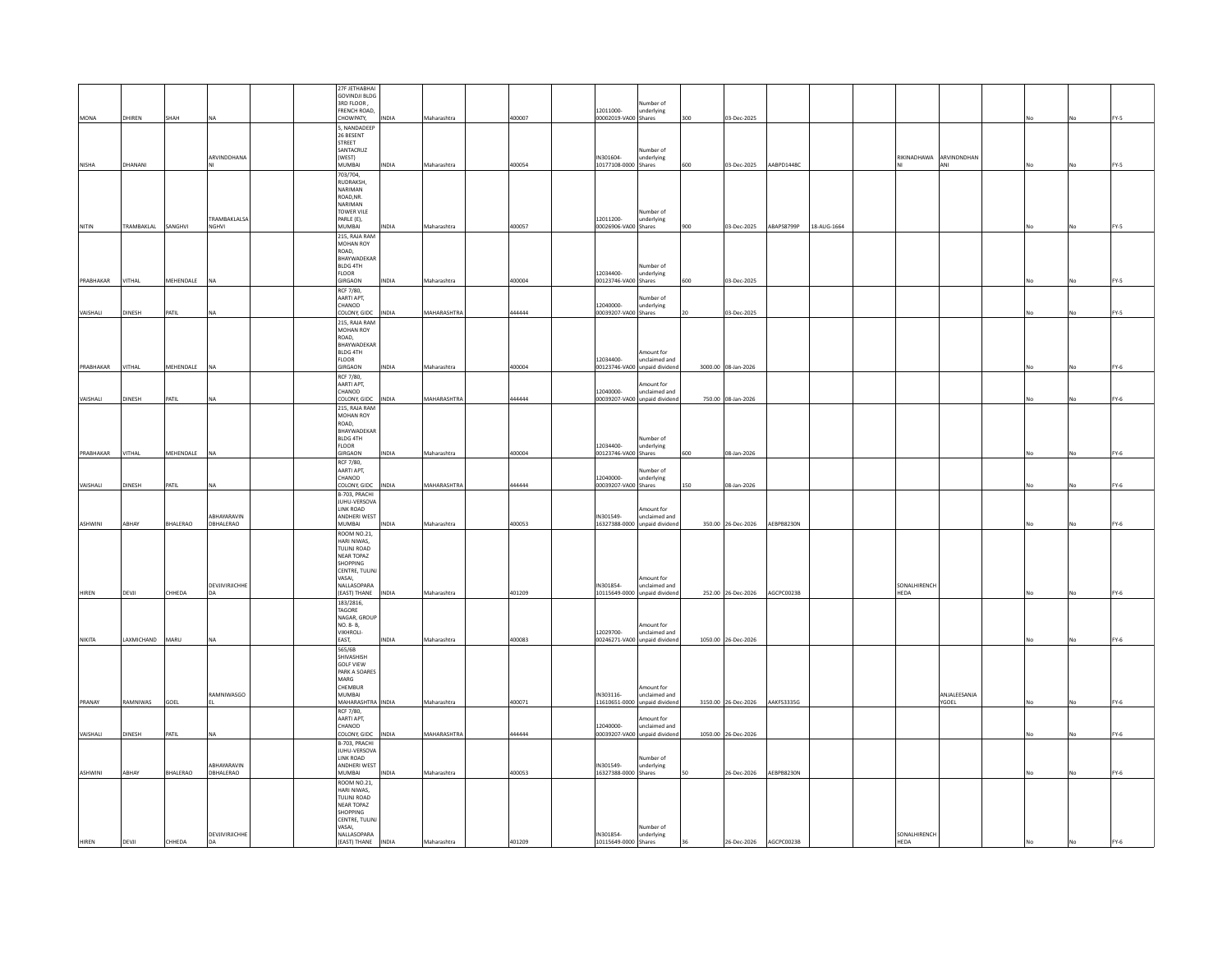|           |               |           |                              | 27F JETHABHAI<br><b>GOVINDJI BLDG</b> |              |             |        |                                   |                                                |      |                               |            |             |                         |                       |    |    |             |
|-----------|---------------|-----------|------------------------------|---------------------------------------|--------------|-------------|--------|-----------------------------------|------------------------------------------------|------|-------------------------------|------------|-------------|-------------------------|-----------------------|----|----|-------------|
|           |               |           |                              | 3RD FLOOR                             |              |             |        |                                   | Number of                                      |      |                               |            |             |                         |                       |    |    |             |
|           |               |           |                              | FRENCH ROAD,                          |              |             |        | 12011000-                         | underlying                                     |      |                               |            |             |                         |                       |    |    |             |
| MONA      | DHIREN        | SHAH      | NA                           | CHOWPATY,                             | INDIA        | Maharashtra | 400007 | 00002019-VA00 Shares              |                                                | 300  | 03-Dec-2025                   |            |             |                         |                       |    |    | FY-5        |
|           |               |           |                              | , NANDADEEP                           |              |             |        |                                   |                                                |      |                               |            |             |                         |                       |    |    |             |
|           |               |           |                              | 26 BESENT<br>STREET                   |              |             |        |                                   |                                                |      |                               |            |             |                         |                       |    |    |             |
|           |               |           |                              | SANTACRUZ                             |              |             |        |                                   | Number of                                      |      |                               |            |             |                         |                       |    |    |             |
|           |               |           | ARVINDDHANA                  | (WEST)                                |              |             |        | IN301604-                         | underlying                                     |      |                               |            |             | RIKINADHAWA ARVINDNDHAN |                       |    |    |             |
| NISHA     | DHANANI       |           |                              | MUMBAI                                | <b>NDIA</b>  | Maharashtra | 400054 | 10177108-0000 Shares              |                                                | 600  | 03-Dec-2025                   | AABPD1448C |             |                         | ANI                   | No |    | FY-5        |
|           |               |           |                              | 703/704,                              |              |             |        |                                   |                                                |      |                               |            |             |                         |                       |    |    |             |
|           |               |           |                              | RUDRAKSH,<br>NARIMAN                  |              |             |        |                                   |                                                |      |                               |            |             |                         |                       |    |    |             |
|           |               |           |                              | ROAD, NR.                             |              |             |        |                                   |                                                |      |                               |            |             |                         |                       |    |    |             |
|           |               |           |                              | NARIMAN                               |              |             |        |                                   |                                                |      |                               |            |             |                         |                       |    |    |             |
|           |               |           |                              | TOWER VILE                            |              |             |        |                                   | Number of                                      |      |                               |            |             |                         |                       |    |    |             |
| NITIN     | TRAMBAKLAL    | SANGHVI   | <b>TRAMBAKLALSA</b><br>NGHVI | PARLE (E),<br>MUMBAI                  | <b>NDIA</b>  | Maharashtra | 400057 | 12011200-<br>00026906-VA00 Shares | underlying                                     | 900  | 03-Dec-2025                   | ABAPS8799P | 18-AUG-1664 |                         |                       |    |    | FY-5        |
|           |               |           |                              | 215, RAJA RAM                         |              |             |        |                                   |                                                |      |                               |            |             |                         |                       |    |    |             |
|           |               |           |                              | MOHAN ROY                             |              |             |        |                                   |                                                |      |                               |            |             |                         |                       |    |    |             |
|           |               |           |                              | ROAD,                                 |              |             |        |                                   |                                                |      |                               |            |             |                         |                       |    |    |             |
|           |               |           |                              | BHAYWADEKAR<br>BLDG 4TH               |              |             |        |                                   | Number of                                      |      |                               |            |             |                         |                       |    |    |             |
|           |               |           |                              | <b>FLOOR</b>                          |              |             |        | 12034400-                         | underlying                                     |      |                               |            |             |                         |                       |    |    |             |
| PRABHAKAR | VITHAL        | MEHENDALE | NA                           | GIRGAON                               | INDIA        | Maharashtra | 400004 | 00123746-VA00 Shares              |                                                | 600  | 03-Dec-2025                   |            |             |                         |                       | No |    | FY-5        |
|           |               |           |                              | <b>RCF 7/80.</b>                      |              |             |        |                                   |                                                |      |                               |            |             |                         |                       |    |    |             |
|           |               |           |                              | AARTI APT.                            |              |             |        |                                   | lumber of                                      |      |                               |            |             |                         |                       |    |    |             |
| VAISHALI  | DINESH        | PATIL     | <b>NA</b>                    | CHANOD<br>COLONY, GIDC                | INDIA        | MAHARASHTRA | 444444 | 12040000-<br>00039207-VA00 Shares | underlying                                     | l 20 | 03-Dec-2025                   |            |             |                         |                       |    |    | FY-5        |
|           |               |           |                              | 215, RAJA RAM                         |              |             |        |                                   |                                                |      |                               |            |             |                         |                       |    |    |             |
|           |               |           |                              | MOHAN ROY                             |              |             |        |                                   |                                                |      |                               |            |             |                         |                       |    |    |             |
|           |               |           |                              | ROAD,                                 |              |             |        |                                   |                                                |      |                               |            |             |                         |                       |    |    |             |
|           |               |           |                              | BHAYWADEKAR                           |              |             |        |                                   |                                                |      |                               |            |             |                         |                       |    |    |             |
|           |               |           |                              | BLDG 4TH<br><b>FLOOR</b>              |              |             |        | 12034400-                         | Amount for<br>inclaimed and                    |      |                               |            |             |                         |                       |    |    |             |
| PRABHAKAR | VITHAL        | MEHENDALE | NA                           | GIRGAON                               | <b>NDIA</b>  | Maharashtra | 400004 |                                   | 00123746-VA00 unpaid dividend                  |      | 3000.00 08-Jan-2026           |            |             |                         |                       |    |    | FY-6        |
|           |               |           |                              | RCF 7/80,                             |              |             |        |                                   |                                                |      |                               |            |             |                         |                       |    |    |             |
|           |               |           |                              | AARTI APT,                            |              |             |        |                                   | mount for                                      |      |                               |            |             |                         |                       |    |    |             |
| VAISHALI  | <b>DINESH</b> | PATIL     |                              | CHANOD<br>COLONY, GIDC                | <b>INDIA</b> | MAHARASHTRA | 444444 | 12040000-                         | unclaimed and<br>00039207-VA00 unpaid dividend |      | 750.00 08-Jan-2026            |            |             |                         |                       |    |    | FY-6        |
|           |               |           |                              | 215, RAJA RAM                         |              |             |        |                                   |                                                |      |                               |            |             |                         |                       |    |    |             |
|           |               |           |                              | MOHAN ROY                             |              |             |        |                                   |                                                |      |                               |            |             |                         |                       |    |    |             |
|           |               |           |                              | ROAD.                                 |              |             |        |                                   |                                                |      |                               |            |             |                         |                       |    |    |             |
|           |               |           |                              | BHAYWADEKAR<br>BLDG 4TH               |              |             |        |                                   |                                                |      |                               |            |             |                         |                       |    |    |             |
|           |               |           |                              | <b>FLOOR</b>                          |              |             |        | 12034400-                         | Number of<br>underlying                        |      |                               |            |             |                         |                       |    |    |             |
| PRABHAKAR | VITHAL        | MEHENDALE | NA                           | <b>GIRGAON</b>                        | <b>NDIA</b>  | Maharashtra | 400004 | 00123746-VA00 Shares              |                                                | 600  | 08-Jan-2026                   |            |             |                         |                       |    |    | FY-6        |
|           |               |           |                              | RCF 7/80,                             |              |             |        |                                   |                                                |      |                               |            |             |                         |                       |    |    |             |
|           |               |           |                              | AARTI APT,                            |              |             |        |                                   | <b>Number</b> of                               |      |                               |            |             |                         |                       |    |    |             |
| VAISHALI  | DINESH        |           |                              | CHANOD<br>COLONY, GIDC                | <b>INDIA</b> | MAHARASHTRA | 444444 | 12040000-                         | underlying                                     | 150  | 08-Jan-2026                   |            |             |                         |                       |    |    | FY-6        |
|           |               | PATIL     |                              | B-703, PRACHI                         |              |             |        | 00039207-VA00 Shares              |                                                |      |                               |            |             |                         |                       |    |    |             |
|           |               |           |                              | JUHU-VERSOVA                          |              |             |        |                                   |                                                |      |                               |            |             |                         |                       |    |    |             |
|           |               |           |                              | LINK ROAD                             |              |             |        |                                   | Amount for                                     |      |                               |            |             |                         |                       |    |    |             |
| ASHWINI   | ABHAY         | BHALERAO  | ABHAYARAVIN<br>DBHALERAO     | ANDHERI WEST<br>MUMBAI                | <b>NDIA</b>  | Maharashtra | 400053 | IN301549-                         | unclaimed and<br>16327388-0000 unpaid dividend |      | 350.00 26-Dec-2026 AEBPB8230N |            |             |                         |                       |    |    | FY-6        |
|           |               |           |                              |                                       |              |             |        |                                   |                                                |      |                               |            |             |                         |                       |    |    |             |
|           |               |           |                              | ROOM NO.21,<br><b>HARI NIWAS</b>      |              |             |        |                                   |                                                |      |                               |            |             |                         |                       |    |    |             |
|           |               |           |                              | TULINJ ROAD                           |              |             |        |                                   |                                                |      |                               |            |             |                         |                       |    |    |             |
|           |               |           |                              | NEAR TOPAZ                            |              |             |        |                                   |                                                |      |                               |            |             |                         |                       |    |    |             |
|           |               |           |                              | <b>SHOPPING</b><br>CENTRE, TULINI     |              |             |        |                                   |                                                |      |                               |            |             |                         |                       |    |    |             |
|           |               |           |                              | VASAI.                                |              |             |        |                                   | Amount for                                     |      |                               |            |             |                         |                       |    |    |             |
|           |               |           | DEVJIVIRJICHHE               | NALLASOPARA                           |              |             |        | IN301854-                         | unclaimed and                                  |      |                               |            |             | SONALHIRENCH            |                       |    |    |             |
| HIREN     | DEVJI         | CHHEDA    | DА                           | (EAST) THANE                          | <b>INDIA</b> | Maharashtra | 401209 |                                   | 10115649-0000 unpaid dividend                  |      | 252.00 26-Dec-2026            | AGCPC0023B |             | <b>HEDA</b>             |                       | No | No | FY-6        |
|           |               |           |                              | 183/2816,<br>TAGORE                   |              |             |        |                                   |                                                |      |                               |            |             |                         |                       |    |    |             |
|           |               |           |                              | NAGAR, GROUP                          |              |             |        |                                   |                                                |      |                               |            |             |                         |                       |    |    |             |
|           |               |           |                              | NO. 8-B,                              |              |             |        |                                   | mount for                                      |      |                               |            |             |                         |                       |    |    |             |
| NIKITA    | LAXMICHAND    | MARU      | <b>NA</b>                    | <b>VIKHROLI-</b>                      | <b>INDIA</b> |             | 400083 | 12029700-                         | unclaimed and                                  |      | 1050.00 26-Dec-2026           |            |             |                         |                       |    |    | <b>FY-6</b> |
|           |               |           |                              | EAST.<br>565/6B                       |              | Maharashtra |        |                                   | 00246271-VA00 unpaid dividend                  |      |                               |            |             |                         |                       |    |    |             |
|           |               |           |                              | SHIVASHISH                            |              |             |        |                                   |                                                |      |                               |            |             |                         |                       |    |    |             |
|           |               |           |                              | <b>GOLF VIEW</b>                      |              |             |        |                                   |                                                |      |                               |            |             |                         |                       |    |    |             |
|           |               |           |                              |                                       |              |             |        |                                   |                                                |      |                               |            |             |                         |                       |    |    |             |
|           |               |           |                              | PARK A SOARES                         |              |             |        |                                   |                                                |      |                               |            |             |                         |                       |    |    |             |
|           |               |           |                              | MARG                                  |              |             |        |                                   |                                                |      |                               |            |             |                         |                       |    |    |             |
|           |               |           |                              | CHEMBUR<br>MUMRAL                     |              |             |        |                                   | mount for                                      |      |                               |            |             |                         |                       |    |    |             |
| PRANAY    | RAMNIWAS      | GOEL      | RAMNIWASGO                   | MAHARASHTRA INDIA                     |              | Maharashtra | 400071 | IN303116-<br>11610651-0000        | unclaimed and<br><b>inpaid dividend</b>        |      | 3150.00 26-Dec-2026           | AAKFS3335G |             |                         | ANJALEESANJA<br>YGOEL |    |    | FY-6        |
|           |               |           |                              | RCF 7/80,                             |              |             |        |                                   |                                                |      |                               |            |             |                         |                       |    |    |             |
|           |               |           |                              | AARTI APT.                            |              |             |        |                                   | mount for                                      |      |                               |            |             |                         |                       |    |    |             |
| VAISHALI  | <b>DINESH</b> | PATIL     |                              | CHANOD<br>COLONY, GIDC                | <b>INDIA</b> | MAHARASHTRA | 444444 | 12040000-                         | unclaimed and<br>00039207-VA00 unpaid dividend |      | 1050.00 26-Dec-2026           |            |             |                         |                       |    |    | FY-6        |
|           |               |           |                              | B-703, PRACHI                         |              |             |        |                                   |                                                |      |                               |            |             |                         |                       |    |    |             |
|           |               |           |                              | JUHU-VERSOVA                          |              |             |        |                                   |                                                |      |                               |            |             |                         |                       |    |    |             |
|           |               |           |                              | LINK ROAD                             |              |             |        |                                   | Number of                                      |      |                               |            |             |                         |                       |    |    |             |
| ASHWINI   | ARHAY         | BHALERAO  | ARHAYARAVIN<br>DBHALERAO     | ANDHERI WEST<br><b>MUMBAI</b>         | <b>INDIA</b> | Maharashtra |        | IN301549-<br>16327388-0000 Shares | underlying                                     |      | 26-Dec-2026                   |            |             |                         |                       |    |    | FY-6        |
|           |               |           |                              |                                       |              |             | 400053 |                                   |                                                |      |                               | AEBPB8230N |             |                         |                       |    |    |             |
|           |               |           |                              | ROOM NO.21,<br>HARI NIWAS,            |              |             |        |                                   |                                                |      |                               |            |             |                         |                       |    |    |             |
|           |               |           |                              | TULINJ ROAD                           |              |             |        |                                   |                                                |      |                               |            |             |                         |                       |    |    |             |
|           |               |           |                              | NEAR TOPAZ                            |              |             |        |                                   |                                                |      |                               |            |             |                         |                       |    |    |             |
|           |               |           |                              | SHOPPING<br>CENTRE, TULINJ            |              |             |        |                                   |                                                |      |                               |            |             |                         |                       |    |    |             |
|           |               |           | DEVIIVIRIICHHE               | VASAI,<br>NALLASOPARA                 |              |             |        | IN301854-                         | Number of<br>underlying                        |      |                               |            |             | SONALHIRENCH            |                       |    |    |             |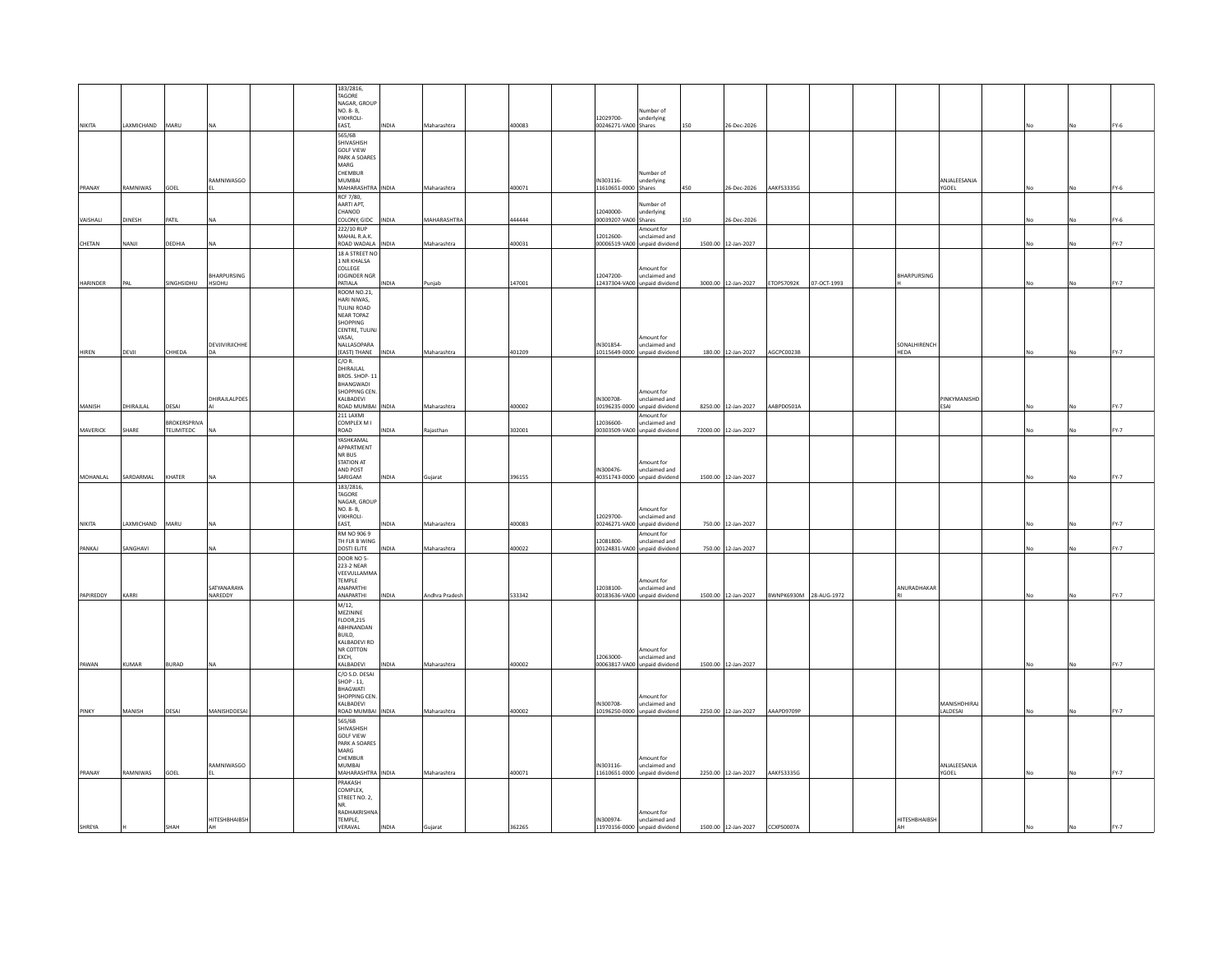|                 |               |                            |                       |  | 183/2816,<br>TAGORE                             |              |                |        |                                   |                                                             |     |                                |                        |             |                      |                          |    |           |             |
|-----------------|---------------|----------------------------|-----------------------|--|-------------------------------------------------|--------------|----------------|--------|-----------------------------------|-------------------------------------------------------------|-----|--------------------------------|------------------------|-------------|----------------------|--------------------------|----|-----------|-------------|
|                 |               |                            |                       |  | NAGAR, GROUP<br>NO. 8- B.                       |              |                |        |                                   | <b>Jumber</b> of                                            |     |                                |                        |             |                      |                          |    |           |             |
| NIKITA          | LAXMICHAND    | MARU                       | <b>NA</b>             |  | VIKHROLI-<br>EAST.                              | <b>INDIA</b> | Maharashtra    | 400083 | 12029700-<br>00246271-VA00 Shares | underlying                                                  | 150 | 26-Dec-2026                    |                        |             |                      |                          |    |           | FY-6        |
|                 |               |                            |                       |  | 565/6B<br>SHIVASHISH                            |              |                |        |                                   |                                                             |     |                                |                        |             |                      |                          |    |           |             |
|                 |               |                            |                       |  | <b>GOLF VIEW</b><br>PARK A SOARES               |              |                |        |                                   |                                                             |     |                                |                        |             |                      |                          |    |           |             |
|                 |               |                            |                       |  | MARG<br>CHEMBUR                                 |              |                |        |                                   | Number of                                                   |     |                                |                        |             |                      |                          |    |           |             |
| PRANAY          | RAMNIWAS      | GOEL                       | RAMNIWASGO            |  | MUMBAI<br>MAHARASHTRA INDIA                     |              | Maharashtra    | 400071 | IN303116-<br>11610651-0000 Shares | underlying                                                  | 450 | 26-Dec-2026                    | AAKFS3335G             |             |                      | ANJALEESANJA<br>YGOEL    | No | <b>No</b> | FY-6        |
|                 |               |                            |                       |  | RCF 7/80,<br>AARTI APT,                         |              |                |        |                                   | <b>Number</b> of                                            |     |                                |                        |             |                      |                          |    |           |             |
| VAISHALI        | <b>DINESH</b> | PATIL                      |                       |  | CHANOD<br>COLONY, GIDC                          | INDIA        | MAHARASHTRA    | 444444 | 12040000-<br>00039207-VA00 Shares | underlying                                                  | 150 | 26-Dec-2026                    |                        |             |                      |                          |    |           | FY-6        |
|                 |               |                            |                       |  | 222/10 RUP<br>MAHAI R.A.K.                      |              |                |        | 12012600                          | Amount for<br>inclaimed and                                 |     |                                |                        |             |                      |                          |    |           |             |
| CHETAN          | NANJI         | DEDHIA                     | <b>NA</b>             |  | ROAD WADALA<br>18 A STREET NO                   | INDIA        | Maharashtra    | 400031 |                                   | 00006519-VA00 unpaid dividend                               |     | 1500.00 12-Jan-2027            |                        |             |                      |                          |    |           | FY-7        |
|                 |               |                            |                       |  | 1 NR KHALSA<br>COLLEGE                          |              |                |        |                                   | Amount for                                                  |     |                                |                        |             |                      |                          |    |           |             |
| <b>HARINDER</b> | PAL           | SINGHSIDHU                 | BHARPURSING<br>HSIDHU |  | JOGINDER NGR<br>PATIALA                         | <b>INDIA</b> | Puniab         | 147001 | 12047200-                         | unclaimed and<br>12437304-VA00 unpaid dividend              |     | 3000.00 12-Jan-2027            | ETOPS7092K             | 07-OCT-1993 | BHARPURSING          |                          |    |           | FY-7        |
|                 |               |                            |                       |  | ROOM NO.21,                                     |              |                |        |                                   |                                                             |     |                                |                        |             |                      |                          |    |           |             |
|                 |               |                            |                       |  | HARI NIWAS,<br>TULINJ ROAD                      |              |                |        |                                   |                                                             |     |                                |                        |             |                      |                          |    |           |             |
|                 |               |                            |                       |  | NEAR TOPAZ<br>SHOPPING                          |              |                |        |                                   |                                                             |     |                                |                        |             |                      |                          |    |           |             |
|                 |               |                            |                       |  | CENTRE, TULINJ<br>VASAI,                        |              |                |        |                                   | mount for                                                   |     |                                |                        |             |                      |                          |    |           |             |
| HIREN           | DEVJI         | CHHEDA                     | DEVIIVIRIICHHE<br>DA  |  | NALLASOPARA<br>(EAST) THANE                     | <b>INDIA</b> | Maharashtra    | 401209 | IN301854-                         | unclaimed and<br>10115649-0000 unpaid dividend              |     | 180.00 12-Jan-2027             | AGCPC0023B             |             | SONALHIRENCH<br>HEDA |                          | No |           | FY-7        |
|                 |               |                            |                       |  | $C/O$ R.<br><b>DHIRAILAL</b>                    |              |                |        |                                   |                                                             |     |                                |                        |             |                      |                          |    |           |             |
|                 |               |                            |                       |  | <b>RROS SHOP-11</b><br>BHANGWADI                |              |                |        |                                   |                                                             |     |                                |                        |             |                      |                          |    |           |             |
| MANISH          | DHIRAJLAL     | DESAI                      | DHIRAJLALPDES         |  | SHOPPING CEN.<br>KALBADEVI<br>ROAD MUMBAI INDIA |              | Maharashtra    | 400002 | IN300708-                         | mount for<br>unclaimed and<br>10196235-0000 unpaid dividend |     | 8250.00 12-Jan-2027            | AABPD0501A             |             |                      | PINKYMANISHD<br>ESAL     |    |           | <b>FY-7</b> |
|                 |               |                            |                       |  | 211 LAXMI                                       |              |                |        |                                   | mount for                                                   |     |                                |                        |             |                      |                          | No |           |             |
| MAVERICK        | SHARE         | BROKERSPRIVA<br>TELIMITEDC | <b>NA</b>             |  | COMPLEX M I<br>ROAD                             | <b>NDIA</b>  | Raiasthan      | 302001 | 12036600-                         | <b>inclaimed</b> and<br>00303509-VA00 unpaid dividend       |     | 72000.00 12-Jan-2027           |                        |             |                      |                          |    |           | FY-7        |
|                 |               |                            |                       |  | YASHKAMAL<br>APPARTMENT                         |              |                |        |                                   |                                                             |     |                                |                        |             |                      |                          |    |           |             |
|                 |               |                            |                       |  | NR BUS<br>STATION AT                            |              |                |        |                                   | Amount for                                                  |     |                                |                        |             |                      |                          |    |           |             |
| MOHANLAL        | SARDARMAL     | KHATER                     |                       |  | AND POST<br>SARIGAM                             | INDIA        | Gujarat        | 396155 | IN300476-                         | unclaimed and<br>40351743-0000 unpaid dividend              |     | 1500.00 12-Jan-2027            |                        |             |                      |                          | No |           | FY-7        |
|                 |               |                            |                       |  | 183/2816,<br>TAGORE                             |              |                |        |                                   |                                                             |     |                                |                        |             |                      |                          |    |           |             |
|                 |               |                            |                       |  | NAGAR, GROUP<br>NO. 8-B,                        |              |                |        |                                   | mount for                                                   |     |                                |                        |             |                      |                          |    |           |             |
| NIKITA          | LAXMICHAND    | MARU                       | <b>NA</b>             |  | <b>VIKHROLI-</b><br>EAST,                       | <b>INDIA</b> | Maharashtra    | 400083 | 12029700                          | unclaimed and<br>00246271-VA00 unpaid dividend              |     | 750.00 12-Jan-2027             |                        |             |                      |                          |    |           | <b>FY-7</b> |
|                 |               |                            |                       |  | RM NO 906 9<br>TH FLR B WING                    |              |                |        | 12081800-                         | mount for<br>inclaimed and                                  |     |                                |                        |             |                      |                          |    |           |             |
| PANKAJ          | SANGHAVI      |                            |                       |  | DOSTI ELITE<br>DOOR NO 5-                       | <b>INDIA</b> | Maharashtra    | 400022 |                                   | 00124831-VA00 unpaid dividend                               |     | 750.00 12-Jan-2027             |                        |             |                      |                          |    |           | FY-7        |
|                 |               |                            |                       |  | 223-2 NEAR<br>VEEVULLAMMA                       |              |                |        |                                   |                                                             |     |                                |                        |             |                      |                          |    |           |             |
|                 |               |                            | SATYANARAYA           |  | TEMPLE<br>ANAPARTHI                             |              |                |        | 12038100-                         | mount for<br>unclaimed and                                  |     |                                |                        |             | ANURADHAKAR          |                          |    |           |             |
| PAPIREDDY       | KARRI         |                            | NAREDDY               |  | ANAPARTHI                                       | NDIA         | Andhra Pradesh | 533342 |                                   | 00183636-VA00 unpaid dividend                               |     | 1500.00 12-Jan-2027            | BWNPK6930M 28-AUG-1972 |             |                      |                          |    |           | FY-7        |
|                 |               |                            |                       |  | M/12,<br>MEZININE<br><b>FLOOR, 215</b>          |              |                |        |                                   |                                                             |     |                                |                        |             |                      |                          |    |           |             |
|                 |               |                            |                       |  | ABHINANDAN<br>BUILD,                            |              |                |        |                                   |                                                             |     |                                |                        |             |                      |                          |    |           |             |
|                 |               |                            |                       |  | KAI RADEVI RD<br>NR COTTON                      |              |                |        |                                   | Amount for                                                  |     |                                |                        |             |                      |                          |    |           |             |
| PAWAN           | KUMAR         | <b>BURAD</b>               | NA                    |  | EXCH.<br>KALBADEVI                              | <b>NDIA</b>  | Maharashtra    | 400002 | 12063000-                         | unclaimed and<br>00063817-VA00 unpaid dividend              |     | 1500.00 12-Jan-2027            |                        |             |                      |                          |    |           | <b>FY-7</b> |
|                 |               |                            |                       |  | C/O S.D. DESAI<br>SHOP - 11.                    |              |                |        |                                   |                                                             |     |                                |                        |             |                      |                          |    |           |             |
|                 |               |                            |                       |  | <b>RHAGWATI</b><br>SHOPPING CEN.                |              |                |        |                                   | mount for                                                   |     |                                |                        |             |                      |                          |    |           |             |
| PINKY           | MANISH        | DESAI                      | MANISHDDESAI          |  | KALBADEVI<br>ROAD MUMBAI INDIA                  |              | Maharashtra    | 400002 | IN300708-                         | unclaimed and<br>10196250-0000 unpaid dividend              |     | 2250.00 12-Jan-2027            | AAAPD9709P             |             |                      | MANISHDHIRAJ<br>LALDESAI |    |           | FY-7        |
|                 |               |                            |                       |  | 565/6B<br>SHIVASHISH                            |              |                |        |                                   |                                                             |     |                                |                        |             |                      |                          |    |           |             |
|                 |               |                            |                       |  | <b>GOLF VIEW</b>                                |              |                |        |                                   |                                                             |     |                                |                        |             |                      |                          |    |           |             |
|                 |               |                            |                       |  | PARK A SOARES<br>MARG<br>CHEMBUR                |              |                |        |                                   | mount for                                                   |     |                                |                        |             |                      |                          |    |           |             |
| PRANAY          | RAMNIWAS      | GOEL                       | RAMNIWASGO            |  | MUMBAI<br>MAHARASHTRA INDIA                     |              | Maharashtra    | 400071 | IN303116-                         | unclaimed and<br>11610651-0000 unpaid dividend              |     | 2250.00 12-Jan-2027            | AAKFS3335G             |             |                      | ANJALEESANJA<br>YGOEL    | No | <b>No</b> | FY-7        |
|                 |               |                            |                       |  | PRAKASH                                         |              |                |        |                                   |                                                             |     |                                |                        |             |                      |                          |    |           |             |
|                 |               |                            |                       |  | COMPLEX,<br>STREET NO. 2,                       |              |                |        |                                   |                                                             |     |                                |                        |             |                      |                          |    |           |             |
|                 |               |                            |                       |  | <b>RADHAKRISHNA</b>                             |              |                |        |                                   | Amount for                                                  |     |                                |                        |             |                      |                          |    |           |             |
| <b>SHREYA</b>   |               | SHAH                       | HITESHBHAIBSH<br>AH   |  | TEMPLE,<br>VERAVAL                              | <b>NDIA</b>  |                | 362265 | IN300974-                         | unclaimed and<br>11970156-0000 unpaid dividend              |     | 1500.00 12-Jan-2027 CCXPS0007A |                        |             | HITESHBHAIBSH        |                          |    | <b>Nc</b> | FY-7        |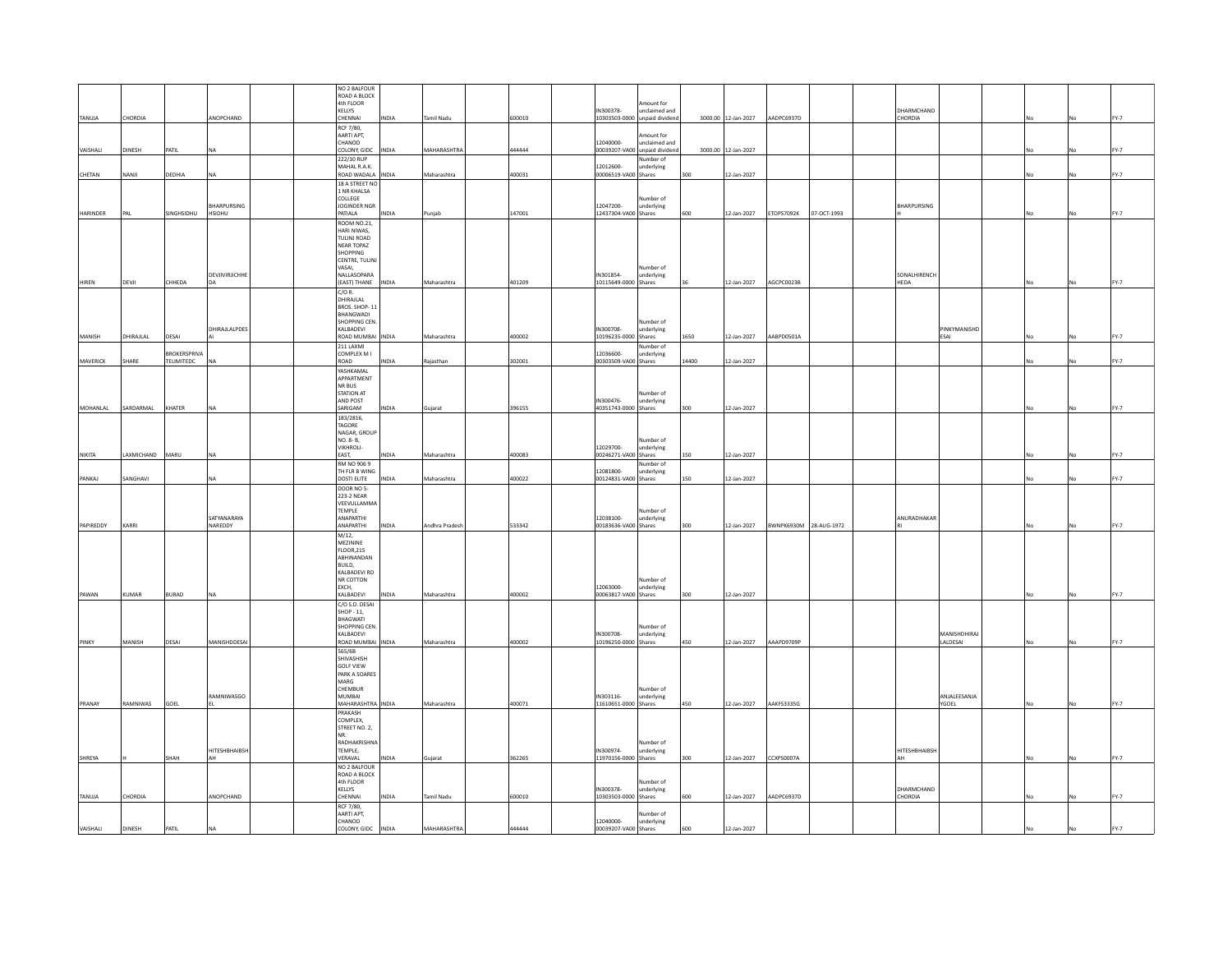|                 |              |              |                                            | NO 2 BALFOUR<br>ROAD A BLOCK       |              |                   |        |                                   |                                                |       |                     |                        |             |                    |                              |           |             |
|-----------------|--------------|--------------|--------------------------------------------|------------------------------------|--------------|-------------------|--------|-----------------------------------|------------------------------------------------|-------|---------------------|------------------------|-------------|--------------------|------------------------------|-----------|-------------|
|                 |              |              |                                            | 4th FLOOR<br>KELLYS                |              |                   |        | IN300378-                         | Amount for<br>unclaimed and                    |       |                     |                        |             | DHARMCHAND         |                              |           |             |
| TANUJA          | CHORDIA      |              | ANOPCHAND                                  | CHENNAL                            | <b>INDIA</b> | Tamil Nadu        | 600010 |                                   | 10303503-0000 unpaid divident                  |       | 3000.00 12-Jan-2027 | AADPC6937D             |             | CHORDIA            |                              |           | <b>FY-7</b> |
|                 |              |              |                                            | RCF 7/80,<br>AARTI APT.            |              |                   |        |                                   | Amount for                                     |       |                     |                        |             |                    |                              |           |             |
| VAISHALI        | DINESH       | PATIL        |                                            | CHANOD<br>COLONY, GIDC             | INDIA        | MAHARASHTRA       | 444444 | 12040000-                         | unclaimed and<br>00039207-VA00 unpaid dividend |       | 3000.00 12-Jan-2027 |                        |             |                    |                              |           | FY-7        |
|                 |              |              |                                            | 222/10 RUP                         |              |                   |        |                                   | Number of                                      |       |                     |                        |             |                    |                              |           |             |
| CHETAN          | NANJI        | DEDHIA       | <b>NA</b>                                  | MAHAL R.A.K.<br>ROAD WADALA INDIA  |              | Maharashtra       | 400031 | 12012600-<br>00006519-VA00 Shares | underlying                                     | 300   | 12-Jan-2027         |                        |             |                    |                              |           | FY-7        |
|                 |              |              |                                            | 18 A STREET NO                     |              |                   |        |                                   |                                                |       |                     |                        |             |                    |                              |           |             |
|                 |              |              |                                            | 1 NR KHALSA<br>COLLEGE             |              |                   |        |                                   | Number of                                      |       |                     |                        |             |                    |                              |           |             |
| <b>HARINDER</b> | PAI          | SINGHSIDHU   | <b><i>RHARPURSING</i></b><br><b>HSIDHU</b> | JOGINDER NGR<br>PATIALA            | <b>INDIA</b> | Punjab            | 147001 | 12047200-<br>12437304-VA00 Shares | underlying                                     | 600   | 12-Jan-2027         | ETOPS7092K             | 07-OCT-1993 | <b>BHARPURSING</b> |                              | <b>No</b> | FY-7        |
|                 |              |              |                                            | ROOM NO.21,                        |              |                   |        |                                   |                                                |       |                     |                        |             |                    |                              |           |             |
|                 |              |              |                                            | HARI NIWAS,<br>TULINJ ROAD         |              |                   |        |                                   |                                                |       |                     |                        |             |                    |                              |           |             |
|                 |              |              |                                            | NEAR TOPAZ<br>SHOPPING             |              |                   |        |                                   |                                                |       |                     |                        |             |                    |                              |           |             |
|                 |              |              |                                            | CENTRE, TULINI                     |              |                   |        |                                   |                                                |       |                     |                        |             |                    |                              |           |             |
|                 |              |              | DEVIIVIRIICHHE                             | VASAI,<br>NALLASOPARA              |              |                   |        | IN301854-                         | Number of<br>underlying                        |       |                     |                        |             | SONALHIRENCH       |                              |           |             |
| HIREN           | DEVJI        | CHHEDA       | DA                                         | (EAST) THANE                       | INDIA        | Maharashtra       | 401209 | 10115649-0000 Shares              |                                                |       | 12-Jan-2027         | AGCPC0023B             |             | HEDA               |                              | No        | FY-7        |
|                 |              |              |                                            | C/O R.<br>DHIRAJLAL                |              |                   |        |                                   |                                                |       |                     |                        |             |                    |                              |           |             |
|                 |              |              |                                            | BROS, SHOP-11<br>BHANGWADI         |              |                   |        |                                   |                                                |       |                     |                        |             |                    |                              |           |             |
|                 |              |              | DHIRAJLALPDES                              | SHOPPING CEN.<br>KALBADEVI         |              |                   |        | IN300708-                         | Number of<br>underlying                        |       |                     |                        |             |                    | PINKYMANISHD                 |           |             |
| MANISH          | DHIRAJLAL    | DESAI        |                                            | ROAD MUMBAI INDIA                  |              | Maharashtra       | 400002 | 10196235-0000 Shares              |                                                | 1650  | 12-Jan-2027         | AABPD0501A             |             |                    | ESAI                         |           | <b>FY-7</b> |
|                 |              | BROKERSPRIVA |                                            | 211 LAXMI<br>COMPLEX M I           |              |                   |        | 12036600-                         | Number of<br>underlying                        |       |                     |                        |             |                    |                              |           |             |
| MAVERICK        | SHARE        | TELIMITEDC   | NA                                         | ROAD                               | NDIA         | Rajasthan         | 302001 | 00303509-VA00 Shares              |                                                | 14400 | 12-Jan-2027         |                        |             |                    |                              |           | FY-7        |
|                 |              |              |                                            | YASHKAMAL<br>APPARTMENT            |              |                   |        |                                   |                                                |       |                     |                        |             |                    |                              |           |             |
|                 |              |              |                                            | NR BUS<br><b>STATION AT</b>        |              |                   |        |                                   | Number of                                      |       |                     |                        |             |                    |                              |           |             |
|                 |              |              | <b>NA</b>                                  | AND POST                           |              |                   |        | IN300476-                         | underlying                                     |       |                     |                        |             |                    |                              |           | <b>FY-7</b> |
| MOHANLAL        | SARDARMAL    | KHATER       |                                            | SARIGAM<br>183/2816                | <b>INDIA</b> | Gujarat           | 396155 | 40351743-0000 Shares              |                                                | 300   | 12-Jan-2027         |                        |             |                    |                              |           |             |
|                 |              |              |                                            | <b>TAGORE</b><br>NAGAR, GROUP      |              |                   |        |                                   |                                                |       |                     |                        |             |                    |                              |           |             |
|                 |              |              |                                            | NO. 8-B.                           |              |                   |        |                                   | Number of                                      |       |                     |                        |             |                    |                              |           |             |
| NIKITA          | LAXMICHAND   | MARU         | <b>NA</b>                                  | <b>VIKHROLI-</b><br>EAST.          | INDIA        | Maharashtra       | 400083 | 12029700-<br>00246271-VA00 Shares | underlying                                     | 150   | 12-Jan-2027         |                        |             |                    |                              |           | <b>FY-7</b> |
|                 |              |              |                                            | RM NO 906 9<br>TH FLR B WING       |              |                   |        | 12081800-                         | Number of<br>underlying                        |       |                     |                        |             |                    |                              |           |             |
| PANKAJ          | SANGHAVI     |              | <b>NA</b>                                  | <b>DOSTI ELITE</b>                 | INDIA        | Maharashtra       | 400022 | 00124831-VA00 Shares              |                                                | 150   | 12-Jan-2027         |                        |             |                    |                              |           | FY-7        |
|                 |              |              |                                            | DOOR NO 5-<br>223-2 NEAR           |              |                   |        |                                   |                                                |       |                     |                        |             |                    |                              |           |             |
|                 |              |              |                                            | VEEVULLAMMA<br>TEMPLE              |              |                   |        |                                   | Number of                                      |       |                     |                        |             |                    |                              |           |             |
|                 |              |              | SATYANARAYA                                | ANAPARTHI                          |              |                   |        | 12038100-                         | underlying                                     |       |                     |                        |             | ANURADHAKAR        |                              |           |             |
| PAPIREDDY       | KARRI        |              | NAREDDY                                    | ANAPARTHI<br>M/12.                 | <b>INDIA</b> | Andhra Pradesh    | 533342 | 00183636-VA00 Shares              |                                                | 300   | 12-Jan-2027         | BWNPK6930M 28-AUG-1972 |             |                    |                              | No        | FY-7        |
|                 |              |              |                                            | MEZININE<br><b>FLOOR.215</b>       |              |                   |        |                                   |                                                |       |                     |                        |             |                    |                              |           |             |
|                 |              |              |                                            | ABHINANDAN                         |              |                   |        |                                   |                                                |       |                     |                        |             |                    |                              |           |             |
|                 |              |              |                                            | BUILD.<br>KALBADEVI RD             |              |                   |        |                                   |                                                |       |                     |                        |             |                    |                              |           |             |
|                 |              |              |                                            | NR COTTON<br>EXCH,                 |              |                   |        | 12063000-                         | Number of<br>underlying                        |       |                     |                        |             |                    |                              |           |             |
| PAWAN           | <b>KUMAR</b> | <b>BURAD</b> | <b>NA</b>                                  | KALBADEVI                          | <b>NDIA</b>  | Maharashtra       | 400002 | 00063817-VA00 Shares              |                                                | 300   | 12-Jan-2027         |                        |             |                    |                              |           | FY-7        |
|                 |              |              |                                            | C/O S.D. DESAI<br>SHOP - 11,       |              |                   |        |                                   |                                                |       |                     |                        |             |                    |                              |           |             |
|                 |              |              |                                            | <b>BHAGWATI</b><br>SHOPPING CEN.   |              |                   |        |                                   | Number of                                      |       |                     |                        |             |                    |                              |           |             |
|                 |              |              |                                            | KALBADEVI                          |              |                   |        | IN300708-                         | underlying                                     |       |                     |                        |             |                    | MANISHDHIRAJ                 |           |             |
| PINKY           | MANISH       | DESAI        | MANISHDDESAI                               | ROAD MUMBAI<br>565/6B              | INDIA        | Maharashtra       | 400002 | 10196250-0000 Shares              |                                                | 450   | 12-Jan-2027         | AAAPD9709P             |             |                    | LALDESAI                     |           | <b>FY-7</b> |
|                 |              |              |                                            | SHIVASHISH<br>GOLF VIEW            |              |                   |        |                                   |                                                |       |                     |                        |             |                    |                              |           |             |
|                 |              |              |                                            | PARK A SOARES                      |              |                   |        |                                   |                                                |       |                     |                        |             |                    |                              |           |             |
|                 |              |              |                                            | MARG<br>CHEMBUR                    |              |                   |        |                                   | Number of                                      |       |                     |                        |             |                    |                              |           |             |
| PRANAY          | RAMNIWAS     | GOEL         | RAMNIWASGO                                 | <b>MUMBAL</b><br>MAHARASHTRA INDIA |              | Maharashtra       | 400071 | IN303116-<br>11610651-0000 Shares | underlying                                     | 450   | 12-Jan-2027         | AAKFS3335G             |             |                    | ANJALEESANJA<br><b>YGOEL</b> | No        | <b>FY-7</b> |
|                 |              |              |                                            | PRAKASH                            |              |                   |        |                                   |                                                |       |                     |                        |             |                    |                              |           |             |
|                 |              |              |                                            | COMPLEX,<br>STREET NO. 2,          |              |                   |        |                                   |                                                |       |                     |                        |             |                    |                              |           |             |
|                 |              |              |                                            | NR.<br><b>RADHAKRISHNA</b>         |              |                   |        |                                   | Number of                                      |       |                     |                        |             |                    |                              |           |             |
|                 |              |              | HITESHBHAIBSH                              | TEMPLE,                            |              |                   |        | IN300974-                         | underlying                                     |       |                     |                        |             | HITESHBHAIBSH      |                              |           |             |
| SHREYA          |              | SHAH         | AH                                         | VERAVAL<br>NO 2 BALFOUR            | NDIA         | Gujarat           | 362265 | 11970156-0000 Shares              |                                                | 300   | 12-Jan-2027         | CCXPS0007A             |             | AH                 |                              |           | FY-7        |
|                 |              |              |                                            | ROAD A BLOCK<br>4th FLOOR          |              |                   |        |                                   | Number of                                      |       |                     |                        |             |                    |                              |           |             |
|                 |              |              |                                            | KELIYS                             |              |                   |        | IN300378-                         | underlying                                     |       |                     |                        |             | DHARMCHAND         |                              |           |             |
| TANUJA          | CHORDIA      |              | ANOPCHAND                                  | CHENNAL<br>RCF 7/80,               | <b>INDIA</b> | <b>Tamil Nadu</b> | 600010 | 10303503-0000 Shares              |                                                | 600   | 12-Jan-2027         | AADPC6937D             |             | CHORDIA            |                              |           | <b>FY-7</b> |
|                 |              |              |                                            | AARTI APT,<br>CHANOD               |              |                   |        | 12040000-                         | Number of                                      |       |                     |                        |             |                    |                              |           |             |
| VAISHALI        | DINESH       | PATIL        |                                            | COLONY, GIDC                       | <b>INDIA</b> | MAHARASHTRA       | 444444 | 00039207-VA00 Shares              | underlying                                     | 600   | 12-Jan-2027         |                        |             |                    |                              |           | FY-7        |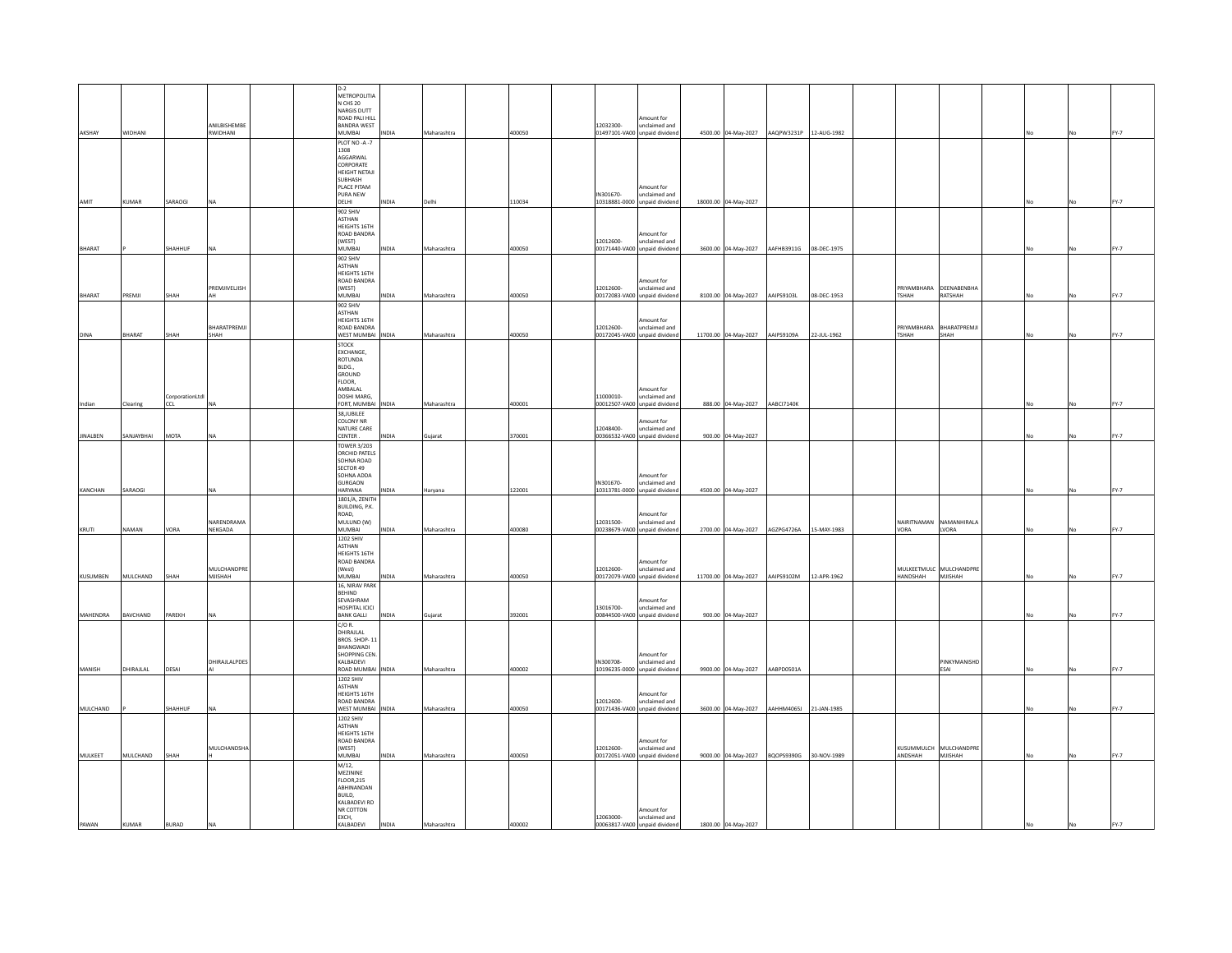|                 |                 |                 |                          | $D-2$<br>METROPOLITIA               |              |             |        |                                            |                                                |                                 |                                            |             |          |                          |  |      |
|-----------------|-----------------|-----------------|--------------------------|-------------------------------------|--------------|-------------|--------|--------------------------------------------|------------------------------------------------|---------------------------------|--------------------------------------------|-------------|----------|--------------------------|--|------|
|                 |                 |                 |                          | N CHS 20<br>NARGIS DUTT             |              |             |        |                                            |                                                |                                 |                                            |             |          |                          |  |      |
|                 |                 |                 |                          | ROAD PALI HILL                      |              |             |        |                                            | Amount for                                     |                                 |                                            |             |          |                          |  |      |
| AKSHAY          | <b>WIDHANI</b>  |                 | ANILBISHEMBE<br>RWIDHANI | <b>BANDRA WEST</b><br><b>MUMBAI</b> | INDIA        | Maharashtra | 400050 | 12032300-<br>01497101-VA00 unpaid dividend | unclaimed and                                  |                                 | 4500.00 04-May-2027 AAQPW3231P 12-AUG-1982 |             |          |                          |  | FY-7 |
|                 |                 |                 |                          | PLOT NO -A -7                       |              |             |        |                                            |                                                |                                 |                                            |             |          |                          |  |      |
|                 |                 |                 |                          | 1308<br>AGGARWAL                    |              |             |        |                                            |                                                |                                 |                                            |             |          |                          |  |      |
|                 |                 |                 |                          | CORPORATE                           |              |             |        |                                            |                                                |                                 |                                            |             |          |                          |  |      |
|                 |                 |                 |                          | <b>HEIGHT NETAJI</b><br>SUBHASH     |              |             |        |                                            |                                                |                                 |                                            |             |          |                          |  |      |
|                 |                 |                 |                          | PLACE PITAM                         |              |             |        |                                            | Amount for                                     |                                 |                                            |             |          |                          |  |      |
| AMIT            | KUMAR           | SARAOGI         | NA                       | PURA NEW<br>DELHI                   | INDIA        | Delhi       | 110034 | IN301670-<br>10318881-0000 unpaid dividend | unclaimed and                                  | 18000.00 04-May-2027            |                                            |             |          |                          |  | FY-7 |
|                 |                 |                 |                          | 902 SHIV                            |              |             |        |                                            |                                                |                                 |                                            |             |          |                          |  |      |
|                 |                 |                 |                          | <b>ASTHAN</b>                       |              |             |        |                                            |                                                |                                 |                                            |             |          |                          |  |      |
|                 |                 |                 |                          | HEIGHTS 16TH<br>ROAD BANDRA         |              |             |        |                                            | Amount for                                     |                                 |                                            |             |          |                          |  |      |
|                 |                 |                 |                          | (WEST)                              |              |             |        | 12012600-                                  | unclaimed and                                  |                                 |                                            |             |          |                          |  |      |
| BHARAT          |                 | SHAHHUF         | <b>NA</b>                | MUMBAI<br>902 SHIV                  | <b>NDIA</b>  | Maharashtra | 400050 | 00171440-VA00 unpaid dividen               |                                                |                                 | 3600.00 04-May-2027 AAFHB3911G 08-DEC-1975 |             |          |                          |  | FY-7 |
|                 |                 |                 |                          | <b>ASTHAN</b>                       |              |             |        |                                            |                                                |                                 |                                            |             |          |                          |  |      |
|                 |                 |                 |                          | HEIGHTS 16TH<br>ROAD BANDRA         |              |             |        |                                            | Amount for                                     |                                 |                                            |             |          |                          |  |      |
|                 |                 |                 | PREMJIVELJISH            | (WEST)                              |              |             |        | 12012600-                                  | unclaimed and                                  |                                 |                                            |             |          | PRIYAMBHARA DEENABENBHA  |  |      |
| BHARAT          | PREMII          | SHAH            | AH                       | MUMRAL<br>902 SHIV                  | <b>INDIA</b> | Maharashtra | 400050 | 00172083-VA00 unpaid dividend              |                                                | 8100.00 04-May-2027 AAIPS9103L  |                                            | 08-DEC-1953 | TSHAH    | RATSHAH                  |  | FY-7 |
|                 |                 |                 |                          | <b>ASTHAN</b>                       |              |             |        |                                            |                                                |                                 |                                            |             |          |                          |  |      |
|                 |                 |                 | BHARATPREMJI             | HEIGHTS 16TH<br>ROAD BANDRA         |              |             |        | 12012600                                   | Amount for<br>unclaimed and                    |                                 |                                            |             |          | PRIYAMBHARA BHARATPREMJI |  |      |
| DINA            | BHARAT          | SHAH            | SHAH                     | WEST MUMBAI                         | INDIA        | Maharashtra | 400050 | 00172045-VA00 unpaid dividend              |                                                | 11700.00 04-May-2027 AAIPS9109A |                                            | 22-JUL-1962 | TSHAH    | SHAH                     |  | FY-7 |
|                 |                 |                 |                          | <b>STOCK</b><br>EXCHANGE,           |              |             |        |                                            |                                                |                                 |                                            |             |          |                          |  |      |
|                 |                 |                 |                          | ROTUNDA                             |              |             |        |                                            |                                                |                                 |                                            |             |          |                          |  |      |
|                 |                 |                 |                          | BLDG.,<br>GROUND                    |              |             |        |                                            |                                                |                                 |                                            |             |          |                          |  |      |
|                 |                 |                 |                          | FLOOR,                              |              |             |        |                                            |                                                |                                 |                                            |             |          |                          |  |      |
|                 |                 | CorporationLtdl |                          | AMBALAL<br>DOSHI MARG,              |              |             |        | 11000010-                                  | Amount for<br>unclaimed and                    |                                 |                                            |             |          |                          |  |      |
| Indian          | Clearing        | CCL             | <b>NA</b>                | FORT, MUMBAI                        | INDIA        | Maharashtra | 400001 | 00012507-VA00 unpaid dividend              |                                                | 888.00 04-May-2027 AABCI7140K   |                                            |             |          |                          |  | FY-7 |
|                 |                 |                 |                          | 38, JUBILEE<br>COLONY NR            |              |             |        |                                            |                                                |                                 |                                            |             |          |                          |  |      |
|                 |                 |                 |                          | NATURE CARE                         |              |             |        | 12048400-                                  | Amount for<br>unclaimed and                    |                                 |                                            |             |          |                          |  |      |
| <b>JINALBEN</b> | SANJAYBHAI      | MOTA            | <b>NA</b>                | CENTER.<br><b>TOWER 3/203</b>       | <b>INDIA</b> | Gujarat     | 370001 | 00366532-VA00 unpaid dividend              |                                                | 900.00 04-May-2027              |                                            |             |          |                          |  | FY-7 |
|                 |                 |                 |                          | ORCHID PATELS                       |              |             |        |                                            |                                                |                                 |                                            |             |          |                          |  |      |
|                 |                 |                 |                          | SOHNA ROAD<br>SECTOR 49             |              |             |        |                                            |                                                |                                 |                                            |             |          |                          |  |      |
|                 |                 |                 |                          | SOHNA ADDA                          |              |             |        |                                            | Amount for                                     |                                 |                                            |             |          |                          |  |      |
| KANCHAN         | SARAOGI         |                 |                          | <b>GURGAON</b><br>HARYANA           | <b>NDIA</b>  | Harvana     | 122001 | IN301670-                                  | unclaimed and<br>10313781-0000 unpaid dividend | 4500.00 04-May-2027             |                                            |             |          |                          |  | FY-7 |
|                 |                 |                 |                          | 1801/A, ZENITH                      |              |             |        |                                            |                                                |                                 |                                            |             |          |                          |  |      |
|                 |                 |                 |                          | BUILDING, P.K.<br>ROAD,             |              |             |        |                                            | Amount for                                     |                                 |                                            |             |          |                          |  |      |
|                 |                 |                 | NARENDRAMA               | MULUND (W)                          |              |             |        | 12031500-                                  | unclaimed and                                  |                                 |                                            |             |          | NAIRITNAMAN NAMANHIRALA  |  |      |
| KRUTI           | NAMAN           | VORA            | NEKGADA                  | MUMBAI                              | INDIA        | Maharashtra | 400080 | 00238679-VA00 unpaid dividend              |                                                | 2700.00 04-May-2027             | AGZPG4726A                                 | 15-MAY-1983 | VORA     | LVORA                    |  | FY-7 |
|                 |                 |                 |                          | 1202 SHIV<br><b>ASTHAN</b>          |              |             |        |                                            |                                                |                                 |                                            |             |          |                          |  |      |
|                 |                 |                 |                          | HEIGHTS 16TH                        |              |             |        |                                            |                                                |                                 |                                            |             |          |                          |  |      |
|                 |                 |                 | MULCHANDPRE              | ROAD BANDRA<br>(West)               |              |             |        | 12012600-                                  | Amount for<br>unclaimed and                    |                                 |                                            |             |          | MULKEETMULC MULCHANDPRE  |  |      |
| KUSUMBEN        | MULCHAND        | SHAH            | MIISHAH                  | MUMRAL<br>16. NIRAV PARK            | <b>AIONI</b> | Maharashtra | 400050 | 00172079-VA00 unpaid dividend              |                                                | 11700.00 04-May-2027 AAIPS9102M |                                            | 12-APR-1962 | HANDSHAH | MISHAH                   |  | FY-7 |
|                 |                 |                 |                          | <b>BEHIND</b>                       |              |             |        |                                            |                                                |                                 |                                            |             |          |                          |  |      |
|                 |                 |                 |                          | SEVASHRAM<br>HOSPITAL ICICI         |              |             |        | 13016700-                                  | Amount for<br>unclaimed and                    |                                 |                                            |             |          |                          |  |      |
| MAHENDRA        | <b>RAVCHAND</b> | PARFKH          | <b>NA</b>                | <b>BANK GALLI</b>                   | <b>NDIA</b>  | Gujarat     | 392001 | 00844500-VA00 unpaid dividend              |                                                | 900.00 04-May-2027              |                                            |             |          |                          |  | FY-7 |
|                 |                 |                 |                          | $C/O$ R.                            |              |             |        |                                            |                                                |                                 |                                            |             |          |                          |  |      |
|                 |                 |                 |                          | DHIRAJLAL<br>BROS. SHOP-11          |              |             |        |                                            |                                                |                                 |                                            |             |          |                          |  |      |
|                 |                 |                 |                          | BHANGWADI<br>SHOPPING CEN.          |              |             |        |                                            | Amount for                                     |                                 |                                            |             |          |                          |  |      |
|                 |                 |                 | DHIRAJLALPDES            | KALBADEVI                           |              |             |        | IN300708-                                  | unclaimed and                                  |                                 |                                            |             |          | PINKYMANISHD             |  |      |
| MANISH          | DHIRAJLAL       | DESAI           |                          | ROAD MUMBAI                         | INDIA        | Maharashtra | 400002 | 10196235-0000 unpaid dividend              |                                                | 9900.00 04-May-2027 AABPD0501A  |                                            |             |          | ESAI                     |  | FY-7 |
|                 |                 |                 |                          | 1202 SHIV<br><b>ASTHAN</b>          |              |             |        |                                            |                                                |                                 |                                            |             |          |                          |  |      |
|                 |                 |                 |                          | HEIGHTS 16TH<br><b>ROAD BANDRA</b>  |              |             |        | 12012600-                                  | Amount for<br>unclaimed and                    |                                 |                                            |             |          |                          |  |      |
| MULCHAND        |                 | SHAHHUF         | NA                       | WEST MUMBAI                         | INDIA        | Maharashtra | 400050 | 00171436-VA00 unpaid dividen               |                                                |                                 | 3600.00 04-May-2027 AAHHM4065J 21-JAN-1985 |             |          |                          |  | FY-7 |
|                 |                 |                 |                          | 1202 SHIV<br><b>ASTHAN</b>          |              |             |        |                                            |                                                |                                 |                                            |             |          |                          |  |      |
|                 |                 |                 |                          | HEIGHTS 16TH                        |              |             |        |                                            |                                                |                                 |                                            |             |          |                          |  |      |
|                 |                 |                 | MULCHANDSHA              | <b>ROAD BANDRA</b><br>(WEST)        |              |             |        | 12012600-                                  | Amount for<br>unclaimed and                    |                                 |                                            |             |          | KUSUMMULCH MULCHANDPRE   |  |      |
| MULKEET         | <b>MULCHAND</b> | SHAH            |                          | MUMRAL                              | <b>INDIA</b> | Maharashtra | 400050 | 00172051-VA00 unpaid dividend              |                                                |                                 | 9000.00 04-May-2027 BQOPS9390G 30-NOV-1989 |             | ANDSHAH  | MISHAH                   |  | FY-7 |
|                 |                 |                 |                          | $M/12$ ,                            |              |             |        |                                            |                                                |                                 |                                            |             |          |                          |  |      |
|                 |                 |                 |                          | MEZININE<br><b>FLOOR, 215</b>       |              |             |        |                                            |                                                |                                 |                                            |             |          |                          |  |      |
|                 |                 |                 |                          | ABHINANDAN<br>BUILD,                |              |             |        |                                            |                                                |                                 |                                            |             |          |                          |  |      |
|                 |                 |                 |                          | KALBADEVI RD                        |              |             |        |                                            |                                                |                                 |                                            |             |          |                          |  |      |
|                 |                 |                 |                          | NR COTTON<br>EXCH,                  |              |             |        | 12063000-                                  | Amount for<br>unclaimed and                    |                                 |                                            |             |          |                          |  |      |
| PAWAN           | KUMAR           | <b>BURAD</b>    | NA                       | KALBADEVI                           | <b>INDIA</b> | Maharashtra | 400002 | 00063817-VA00 unpaid dividend              |                                                | 1800.00 04-May-2027             |                                            |             |          |                          |  |      |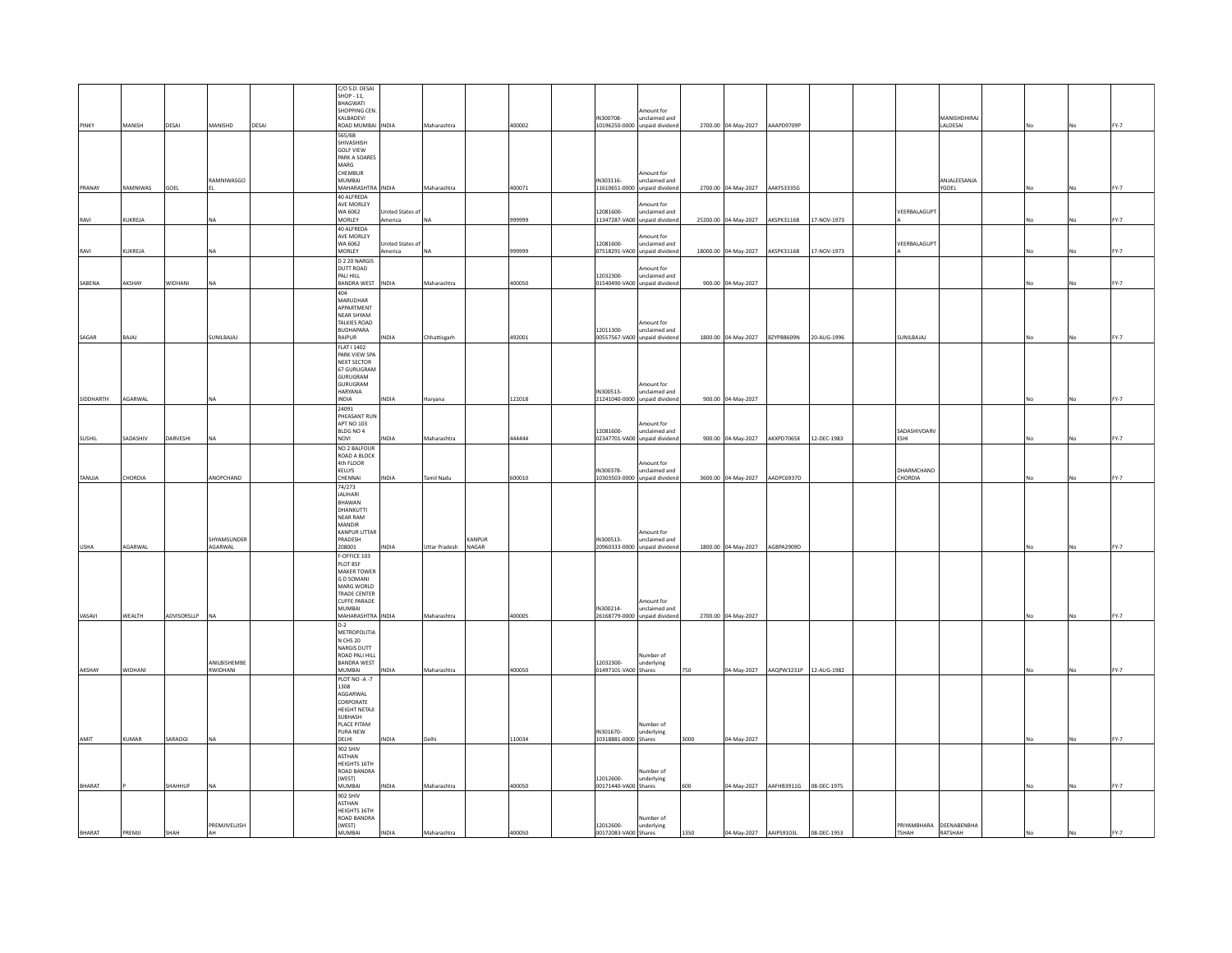|               |                |             |                        |       | C/O S.D. DESAI<br>SHOP - 11,             |                                   |                      |                 |        |                                   |                                                |      |                                            |                                    |             |                       |                                    |  |      |
|---------------|----------------|-------------|------------------------|-------|------------------------------------------|-----------------------------------|----------------------|-----------------|--------|-----------------------------------|------------------------------------------------|------|--------------------------------------------|------------------------------------|-------------|-----------------------|------------------------------------|--|------|
|               |                |             |                        |       | <b>BHAGWATI</b><br>SHOPPING CEN          |                                   |                      |                 |        |                                   | Amount for                                     |      |                                            |                                    |             |                       |                                    |  |      |
| ΡΙΝΚΥ         | MANISH         | DESAI       | MANISHD                | DESAI | KALBADEVI<br>ROAD MUMBAI                 | <b>INDIA</b>                      | Maharashtra          |                 | 400002 | IN300708                          | unclaimed and<br>10196250-0000 unpaid dividend |      | 2700.00 04-May-2027 AAAPD9709P             |                                    |             |                       | MANISHDHIRAJ<br>LALDESAI           |  | FY-7 |
|               |                |             |                        |       | 565/6B<br>SHIVASHISH                     |                                   |                      |                 |        |                                   |                                                |      |                                            |                                    |             |                       |                                    |  |      |
|               |                |             |                        |       | <b>GOLF VIEW</b><br>PARK A SOARES        |                                   |                      |                 |        |                                   |                                                |      |                                            |                                    |             |                       |                                    |  |      |
|               |                |             |                        |       | MARG<br>CHEMBUR                          |                                   |                      |                 |        |                                   | Amount for                                     |      |                                            |                                    |             |                       |                                    |  |      |
| PRANAY        | RAMNIWAS       | GOEL        | RAMNIWASGO             |       | <b>MUMBAI</b><br>MAHARASHTRA INDIA       |                                   | Maharashtra          |                 | 400071 | IN303116-                         | unclaimed and<br>11610651-0000 unpaid dividend |      | 2700.00 04-May-2027 AAKFS3335G             |                                    |             |                       | ANJALEESANJA<br>YGOEL              |  | FY-7 |
|               |                |             |                        |       | 40 ALEREDA<br>AVE MORLEY                 |                                   |                      |                 |        |                                   | Amount for                                     |      |                                            |                                    |             |                       |                                    |  |      |
| RAVI          | KUKREJA        |             |                        |       | WA 6062<br>MORLEY                        | Inited States of<br>America       | <b>NA</b>            |                 | 999999 | 12081600-                         | unclaimed and<br>11347287-VA00 unpaid dividend |      | 25200.00 04-May-2027                       | AKSPK3116B                         | 17-NOV-1973 | VEERBALAGUPT          |                                    |  | FY-7 |
|               |                |             |                        |       | 40 ALFREDA<br>AVE MORLEY                 |                                   |                      |                 |        |                                   | Amount for                                     |      |                                            |                                    |             |                       |                                    |  |      |
| RAVI          | KUKREJA        |             |                        |       | WA 6062<br>MORLEY                        | <b>Jnited States of</b><br>merica | <b>NA</b>            |                 | 999999 | 12081600                          | unclaimed and<br>07518291-VA00 unpaid dividend |      | 18000.00 04-May-2027                       | AKSPK3116B                         | 17-NOV-1973 | VEERBALAGUPT          |                                    |  | FY-7 |
|               |                |             |                        |       | D 2 20 NARGIS<br>DUTT ROAD               |                                   |                      |                 |        |                                   | Amount for                                     |      |                                            |                                    |             |                       |                                    |  |      |
| SABENA        | AKSHAY         | WIDHANI     | <b>NA</b>              |       | PALI HILL<br>BANDRA WEST                 | <b>INDIA</b>                      | Maharashtra          |                 | 400050 | 12032300-                         | unclaimed and<br>01540490-VA00 unpaid dividend |      | 900.00 04-May-2027                         |                                    |             |                       |                                    |  | FY-7 |
|               |                |             |                        |       | 404<br><b>MARUDHAR</b>                   |                                   |                      |                 |        |                                   |                                                |      |                                            |                                    |             |                       |                                    |  |      |
|               |                |             |                        |       | APPARTMENT<br>NEAR SHYAM<br>TALKIES ROAD |                                   |                      |                 |        |                                   | Amount for                                     |      |                                            |                                    |             |                       |                                    |  |      |
| SAGAR         | BAJAJ          |             | SUNILBAJAJ             |       | <b>BUDHAPARA</b><br>RAIPUR               | NDIA                              | Chhattisgarh         |                 | 492001 | 12011300-                         | unclaimed and<br>00557567-VA00 unpaid dividend |      | 1800.00 04-May-2027 BZYPB8609N 20-AUG-1996 |                                    |             | SUNILBAJAJ            |                                    |  | FY-7 |
|               |                |             |                        |       | <b>FLAT I 1402</b><br>PARK VIEW SPA      |                                   |                      |                 |        |                                   |                                                |      |                                            |                                    |             |                       |                                    |  |      |
|               |                |             |                        |       | NEXT SECTOR<br>67 GURUGRAM               |                                   |                      |                 |        |                                   |                                                |      |                                            |                                    |             |                       |                                    |  |      |
|               |                |             |                        |       | <b>GURUGRAM</b><br><b>GURUGRAM</b>       |                                   |                      |                 |        |                                   | Amount for                                     |      |                                            |                                    |             |                       |                                    |  |      |
| SIDDHARTH     | AGARWAL        |             |                        |       | HARYANA<br><b>INDIA</b>                  | <b>AIONI</b>                      | Haryana              |                 | 122018 | IN300513-                         | unclaimed and<br>21241040-0000 unpaid dividend |      | 900.00 04-May-2027                         |                                    |             |                       |                                    |  | FY-7 |
|               |                |             |                        |       | 24091<br>PHEASANT RUN                    |                                   |                      |                 |        |                                   |                                                |      |                                            |                                    |             |                       |                                    |  |      |
|               |                |             |                        |       | <b>APT NO 103</b><br>BLDG NO 4           |                                   |                      |                 |        | 12081600-                         | Amount for<br>unclaimed and                    |      |                                            |                                    |             | SADASHIVDARV          |                                    |  |      |
| SUSHIL        | SADASHIV       | DARVESHI    | <b>NA</b>              |       | NOVI<br>NO 2 BALFOUR                     | NDIA                              | Maharashtra          |                 | 444444 |                                   | 02347701-VA00 unpaid dividend                  |      | 900.00 04-May-2027 AKXPD7065K 12-DEC-1983  |                                    |             | ESHI                  |                                    |  | FY-7 |
|               |                |             |                        |       | ROAD A BLOCK<br>4th FLOOR                |                                   |                      |                 |        |                                   | Amount for                                     |      |                                            |                                    |             |                       |                                    |  |      |
| <b>TANUJA</b> | <b>CHORDIA</b> |             | ANOPCHAND              |       | KELLYS<br>CHENNAI                        | <b>INDIA</b>                      | <b>Tamil Nadu</b>    |                 | 600010 | IN300378-                         | unclaimed and<br>10303503-0000 unpaid dividend |      | 3600.00 04-May-2027 AADPC6937D             |                                    |             | DHARMCHAND<br>CHORDIA |                                    |  | FY-7 |
|               |                |             |                        |       | 74/273<br><b>JAUHARI</b>                 |                                   |                      |                 |        |                                   |                                                |      |                                            |                                    |             |                       |                                    |  |      |
|               |                |             |                        |       | BHAWAN<br>DHANKUTTI<br><b>NEAR RAM</b>   |                                   |                      |                 |        |                                   |                                                |      |                                            |                                    |             |                       |                                    |  |      |
|               |                |             |                        |       | MANDIR<br>KANPUR UTTAR                   |                                   |                      |                 |        |                                   | Amount for                                     |      |                                            |                                    |             |                       |                                    |  |      |
| USHA          | AGARWAL        |             | SHYAMSUNDER<br>AGARWAL |       | PRADESH<br>208001                        | INDIA                             | <b>Uttar Pradesh</b> | KANPUR<br>NAGAR |        | IN300513-                         | unclaimed and<br>20960333-0000 unpaid dividend |      | 1800.00 04-May-2027 AGBPA2909D             |                                    |             |                       |                                    |  | FY-7 |
|               |                |             |                        |       | F-OFFICE 103<br>PLOT 85F                 |                                   |                      |                 |        |                                   |                                                |      |                                            |                                    |             |                       |                                    |  |      |
|               |                |             |                        |       | <b>MAKER TOWER</b><br><b>GD SOMANI</b>   |                                   |                      |                 |        |                                   |                                                |      |                                            |                                    |             |                       |                                    |  |      |
|               |                |             |                        |       | MARG WORLD<br><b>TRADE CENTER</b>        |                                   |                      |                 |        |                                   |                                                |      |                                            |                                    |             |                       |                                    |  |      |
|               |                |             |                        |       | <b>CUFFE PARADE</b><br><b>MUMBAI</b>     |                                   |                      |                 |        | IN300214-                         | Amount for<br>unclaimed and                    |      |                                            |                                    |             |                       |                                    |  |      |
| VASAVI        | WEALTH         | ADVISORSLLP | <b>NA</b>              |       | MAHARASHTRA<br>$D-2$                     | <b>INDIA</b>                      | Maharashtra          |                 | 400005 |                                   | 26168779-0000 unpaid dividend                  |      | 2700.00 04-May-2027                        |                                    |             |                       |                                    |  | FY-7 |
|               |                |             |                        |       | METROPOLITIA<br>N CHS 20<br>NARGIS DUTT  |                                   |                      |                 |        |                                   |                                                |      |                                            |                                    |             |                       |                                    |  |      |
|               |                |             | ANILBISHEMBE           |       | ROAD PALI HILL<br><b>BANDRA WEST</b>     |                                   |                      |                 |        | 12032300-                         | Number of<br>underlying                        |      |                                            |                                    |             |                       |                                    |  |      |
| AKSHAY        | <b>WIDHANI</b> |             | RWIDHANI               |       | <b>MUMBAI</b><br>PLOT NO -A -7           | INDIA                             | Maharashtra          |                 | 400050 | 01497101-VA00 Shares              |                                                | 750  |                                            | 04-May-2027 AAQPW3231P 12-AUG-1982 |             |                       |                                    |  | FY-7 |
|               |                |             |                        |       | 1308<br>AGGARWAL                         |                                   |                      |                 |        |                                   |                                                |      |                                            |                                    |             |                       |                                    |  |      |
|               |                |             |                        |       | CORPORATE<br>HEIGHT NETAJI               |                                   |                      |                 |        |                                   |                                                |      |                                            |                                    |             |                       |                                    |  |      |
|               |                |             |                        |       | SUBHASH<br>PLACE PITAM                   |                                   |                      |                 |        |                                   | Number of                                      |      |                                            |                                    |             |                       |                                    |  |      |
| AMIT          | KUMAR          | SARAOGI     |                        |       | PURA NEW<br>DELHI                        | INDIA                             | Delhi                |                 | 110034 | IN301670-<br>10318881-0000 Shares | underlying                                     | 3000 | 04-May-2027                                |                                    |             |                       |                                    |  | FY-7 |
|               |                |             |                        |       | 902 SHIV<br><b>ASTHAN</b>                |                                   |                      |                 |        |                                   |                                                |      |                                            |                                    |             |                       |                                    |  |      |
|               |                |             |                        |       | HEIGHTS 16TH<br>ROAD BANDRA              |                                   |                      |                 |        |                                   | Number of                                      |      |                                            |                                    |             |                       |                                    |  |      |
| BHARAT        |                | SHAHHUF     | <b>NA</b>              |       | (WEST)<br>MUMRAI                         | <b>INDIA</b>                      | Maharashtra          |                 | 400050 | 12012600-<br>00171440-VA00 Shares | underlying                                     | 600  |                                            | 04-May-2027 AAFHB3911G 08-DEC-1975 |             |                       |                                    |  | FY-7 |
|               |                |             |                        |       | 902 SHIV<br>ASTHAN                       |                                   |                      |                 |        |                                   |                                                |      |                                            |                                    |             |                       |                                    |  |      |
|               |                |             |                        |       | HEIGHTS 16TH<br>ROAD BANDRA              |                                   |                      |                 |        |                                   | Number of                                      |      |                                            |                                    |             |                       |                                    |  |      |
| BHARAT        | PREMJI         | SHAH        | PREMJIVELJISH<br>AH    |       | (WEST)<br>MUMBAI                         | <b>INDIA</b>                      | Maharashtra          |                 | 400050 | 12012600-<br>00172083-VA00 Shares | underlying                                     | 1350 | 04-May-2027 AAIPS9103L                     |                                    | 08-DEC-1953 | TSHAH                 | PRIYAMBHARA DEENABENBHA<br>RATSHAH |  |      |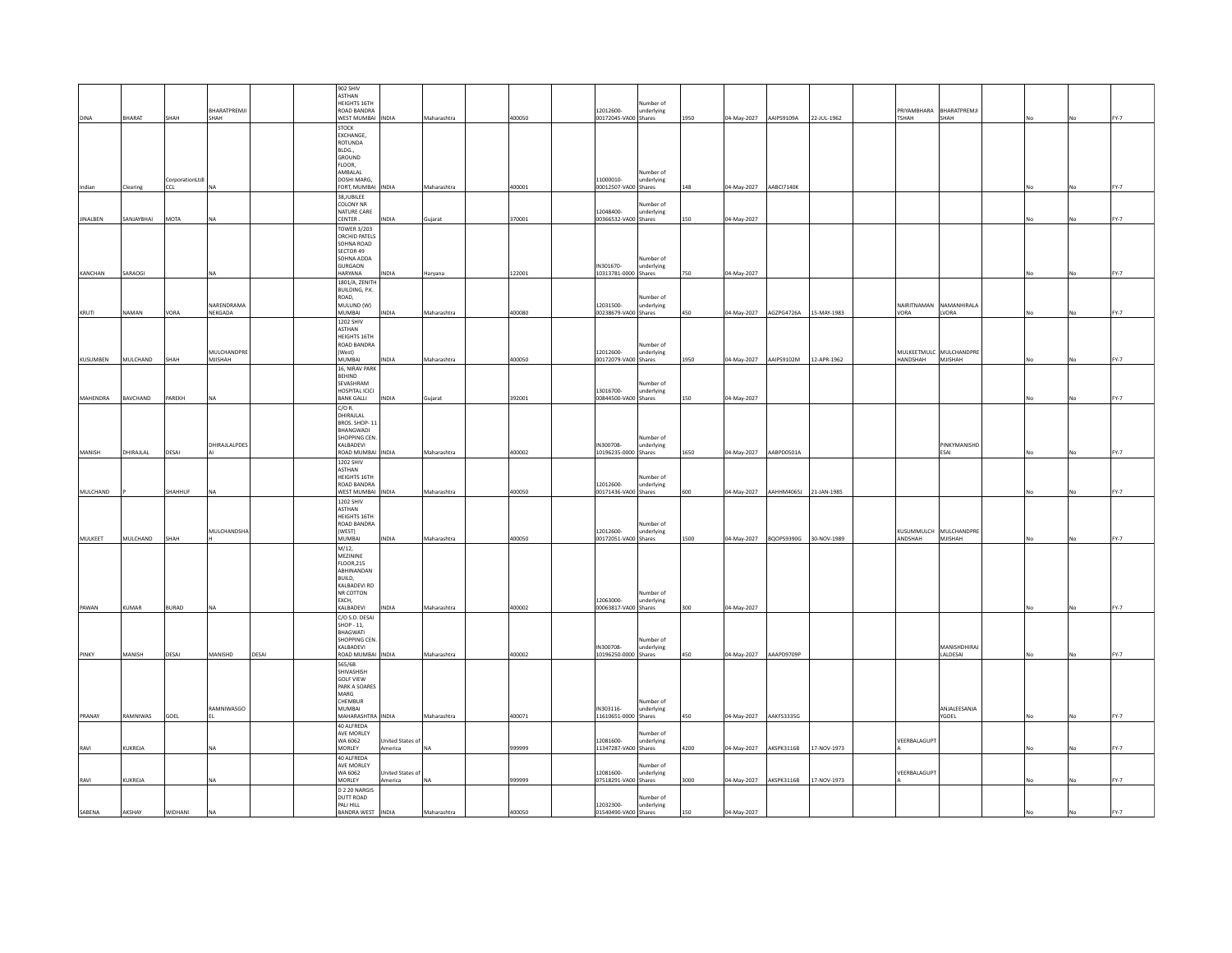|                 |              |                |                      |       | 902 SHIV                             |                         |             |        |                                   |                         |      |             |                                      |             |                             |                             |      |    |      |
|-----------------|--------------|----------------|----------------------|-------|--------------------------------------|-------------------------|-------------|--------|-----------------------------------|-------------------------|------|-------------|--------------------------------------|-------------|-----------------------------|-----------------------------|------|----|------|
|                 |              |                |                      |       | ASTHAN                               |                         |             |        |                                   |                         |      |             |                                      |             |                             |                             |      |    |      |
|                 |              |                |                      |       | HEIGHTS 16TH                         |                         |             |        |                                   | Number of               |      |             |                                      |             |                             |                             |      |    |      |
| DINA            | BHARAT       | SHAH           | BHARATPREMJI<br>SHAH |       | ROAD BANDRA<br><b>WEST MUMBAL</b>    | <b>INDIA</b>            | Maharashtra | 400050 | 12012600-<br>00172045-VA00 Shares | underlying              | 1950 | 04-May-2027 | AAIPS9109A                           | 22-JUL-1962 | PRIYAMRHARA<br><b>TSHAH</b> | BHARATPREMJI<br><b>SHAH</b> |      |    | FY-7 |
|                 |              |                |                      |       | <b>STOCK</b>                         |                         |             |        |                                   |                         |      |             |                                      |             |                             |                             |      |    |      |
|                 |              |                |                      |       | EXCHANGE,                            |                         |             |        |                                   |                         |      |             |                                      |             |                             |                             |      |    |      |
|                 |              |                |                      |       | ROTUNDA                              |                         |             |        |                                   |                         |      |             |                                      |             |                             |                             |      |    |      |
|                 |              |                |                      |       | BLDG                                 |                         |             |        |                                   |                         |      |             |                                      |             |                             |                             |      |    |      |
|                 |              |                |                      |       | GROUND<br>FLOOR.                     |                         |             |        |                                   |                         |      |             |                                      |             |                             |                             |      |    |      |
|                 |              |                |                      |       | AMBALAL                              |                         |             |        |                                   | Number of               |      |             |                                      |             |                             |                             |      |    |      |
|                 |              | CorporationLtd |                      |       | DOSHI MARG.                          |                         |             |        | 11000010-                         | underlying              |      |             |                                      |             |                             |                             |      |    |      |
| Indian          | Clearing     | CCL            | <b>NA</b>            |       | FORT, MUMBAI                         | INDIA                   | Maharashtra | 400001 | 00012507-VA00 Shares              |                         | 148  | 04-May-2027 | AABCI7140K                           |             |                             |                             |      |    | FY-7 |
|                 |              |                |                      |       | 38JUBILEE<br>COLONY NR               |                         |             |        |                                   |                         |      |             |                                      |             |                             |                             |      |    |      |
|                 |              |                |                      |       | <b>NATURE CARE</b>                   |                         |             |        | 12048400-                         | Number of<br>underlying |      |             |                                      |             |                             |                             |      |    |      |
| <b>JINALBEN</b> | SANJAYBHAI   | <b>MOTA</b>    |                      |       | CENTER.                              | <b>INDIA</b>            | Gujarat     | 370001 | 00366532-VA00 Shares              |                         | 150  | 04-May-2027 |                                      |             |                             |                             |      |    | FY-7 |
|                 |              |                |                      |       | <b>TOWER 3/203</b>                   |                         |             |        |                                   |                         |      |             |                                      |             |                             |                             |      |    |      |
|                 |              |                |                      |       | <b>ORCHID PATELS</b>                 |                         |             |        |                                   |                         |      |             |                                      |             |                             |                             |      |    |      |
|                 |              |                |                      |       | SOHNA ROAD<br>SECTOR 49              |                         |             |        |                                   |                         |      |             |                                      |             |                             |                             |      |    |      |
|                 |              |                |                      |       | SOHNA ADDA                           |                         |             |        |                                   | Number of               |      |             |                                      |             |                             |                             |      |    |      |
|                 |              |                |                      |       | <b>GURGAON</b>                       |                         |             |        | IN301670-                         | underlying              |      |             |                                      |             |                             |                             |      |    |      |
| KANCHAN         | SARAOGI      |                |                      |       | HARYANA                              | <b>INDIA</b>            | Haryana     | 122001 | 10313781-0000 Shares              |                         | 750  | 04-May-2027 |                                      |             |                             |                             |      |    | FY-7 |
|                 |              |                |                      |       | 1801/A, ZENITH                       |                         |             |        |                                   |                         |      |             |                                      |             |                             |                             |      |    |      |
|                 |              |                |                      |       | BUILDING, P.K.<br>ROAD.              |                         |             |        |                                   | Number of               |      |             |                                      |             |                             |                             |      |    |      |
|                 |              |                | NARENDRAMA           |       | MULUND (W)                           |                         |             |        | 12031500                          | underlying              |      |             |                                      |             |                             | NAIRITNAMAN NAMANHIRALA     |      |    |      |
| KRUTI           | <b>NAMAN</b> | VORA           | <b>NEKGADA</b>       |       | <b>MUMBAI</b>                        | <b>INDIA</b>            | Maharashtra | 400080 | 00238679-VA00 Shares              |                         | 450  | 04-May-2027 | AGZPG4726A                           | 15-MAY-1983 | VORA                        | LVORA                       |      |    | FY-7 |
|                 |              |                |                      |       | 1202 SHIV                            |                         |             |        |                                   |                         |      |             |                                      |             |                             |                             |      |    |      |
|                 |              |                |                      |       | <b>ASTHAN</b><br><b>HEIGHTS 16TH</b> |                         |             |        |                                   |                         |      |             |                                      |             |                             |                             |      |    |      |
|                 |              |                |                      |       | ROAD BANDRA                          |                         |             |        |                                   | Number of               |      |             |                                      |             |                             |                             |      |    |      |
|                 |              |                | MULCHANDPRI          |       | (West)                               |                         |             |        | 12012600-                         | underlying              |      |             |                                      |             |                             | MULKEETMULC MULCHANDPRE     |      |    |      |
| KUSUMBEN        | MULCHAND     | SHAH           | MJISHAH              |       | MUMBAI                               | <b>NDIA</b>             | Maharashtra | 400050 | 00172079-VA00 Shares              |                         | 1950 | 04-May-2027 | AAIPS9102M                           | 12-APR-1962 | <b>HANDSHAH</b>             | MJISHAH                     | No   |    | FY-7 |
|                 |              |                |                      |       | 16. NIRAV PARK                       |                         |             |        |                                   |                         |      |             |                                      |             |                             |                             |      |    |      |
|                 |              |                |                      |       | <b>REHIND</b><br><b>SEVASHRAM</b>    |                         |             |        |                                   | Number of               |      |             |                                      |             |                             |                             |      |    |      |
|                 |              |                |                      |       | HOSPITAL ICICI                       |                         |             |        | 13016700-                         | underlying              |      |             |                                      |             |                             |                             |      |    |      |
| MAHENDRA        | BAVCHAND     | PAREKH         | <b>NA</b>            |       | <b>BANK GALLI</b>                    | INDIA                   | Gujarat     | 392001 | 00844500-VA00 Shares              |                         | 150  | 04-May-2027 |                                      |             |                             |                             | No   |    | FY-7 |
|                 |              |                |                      |       | $C/O$ R.                             |                         |             |        |                                   |                         |      |             |                                      |             |                             |                             |      |    |      |
|                 |              |                |                      |       | DHIRAILAL<br>BROS, SHOP-1            |                         |             |        |                                   |                         |      |             |                                      |             |                             |                             |      |    |      |
|                 |              |                |                      |       | BHANGWADI                            |                         |             |        |                                   |                         |      |             |                                      |             |                             |                             |      |    |      |
|                 |              |                |                      |       | SHOPPING CEN.                        |                         |             |        |                                   | Number of               |      |             |                                      |             |                             |                             |      |    |      |
|                 |              |                | DHIRAJLALPDES        |       | KAI RADEVI                           |                         |             |        | IN300708-                         | underlying              |      |             |                                      |             |                             | PINKYMANISHD                |      |    |      |
| MANISH          | DHIRAJLAL    | DESAI          |                      |       | ROAD MUMBAI<br>1202 SHIV             | <b>INDIA</b>            | Maharashtra | 400002 | 10196235-0000 Shares              |                         | 1650 | 04-May-2027 | AABPD0501A                           |             |                             | ESAI                        |      |    | EV.7 |
|                 |              |                |                      |       | <b>ASTHAN</b>                        |                         |             |        |                                   |                         |      |             |                                      |             |                             |                             |      |    |      |
|                 |              |                |                      |       | HEIGHTS 16TH                         |                         |             |        |                                   | Number of               |      |             |                                      |             |                             |                             |      |    |      |
|                 |              |                |                      |       | ROAD BANDRA                          |                         |             |        | 12012600-                         | underlying              |      |             |                                      |             |                             |                             |      |    |      |
| MULCHAND        |              | SHAHHUF        | <b>NA</b>            |       | <b>WEST MUMBAI</b>                   | INDIA                   | Maharashtra | 400050 | 00171436-VA00 Shares              |                         | 600  | 04-May-2027 | <b>AAHHM4065J</b>                    | 21-JAN-1985 |                             |                             |      |    | FY-7 |
|                 |              |                |                      |       | <b>1202 SHIV</b><br><b>ASTHAN</b>    |                         |             |        |                                   |                         |      |             |                                      |             |                             |                             |      |    |      |
|                 |              |                |                      |       | HEIGHTS 16TH                         |                         |             |        |                                   |                         |      |             |                                      |             |                             |                             |      |    |      |
|                 |              |                |                      |       | ROAD BANDRA                          |                         |             |        |                                   | Number of               |      |             |                                      |             |                             |                             |      |    |      |
|                 |              |                | MULCHANDSHA          |       | (WEST)                               |                         |             |        | 12012600-                         | underlying              |      |             |                                      |             |                             | KUSUMMULCH MULCHANDPRE      |      |    |      |
| MULKEET         | MULCHAND     | SHAH           |                      |       | <b>MUMBAI</b>                        | <b>NDIA</b>             | Maharashtra | 400050 | 00172051-VA00 Shares              |                         | 1500 |             | 04-May-2027  BQOPS9390G  30-NOV-1989 |             | ANDSHAH                     | MJISHAH                     | No.  | No | FY-7 |
|                 |              |                |                      |       | M/12,<br>MF7ININE                    |                         |             |        |                                   |                         |      |             |                                      |             |                             |                             |      |    |      |
|                 |              |                |                      |       | <b>FLOOR.215</b>                     |                         |             |        |                                   |                         |      |             |                                      |             |                             |                             |      |    |      |
|                 |              |                |                      |       | ABHINANDAN                           |                         |             |        |                                   |                         |      |             |                                      |             |                             |                             |      |    |      |
|                 |              |                |                      |       | BUILD.                               |                         |             |        |                                   |                         |      |             |                                      |             |                             |                             |      |    |      |
|                 |              |                |                      |       | KALBADEVI RD<br>NR COTTON            |                         |             |        |                                   | Number of               |      |             |                                      |             |                             |                             |      |    |      |
|                 |              |                |                      |       | EXCH.                                |                         |             |        | 12063000-                         | underlying              |      |             |                                      |             |                             |                             |      |    |      |
| PAWAN           | KUMAR        | <b>BURAD</b>   | <b>NA</b>            |       | KALBADEVI                            | INDIA                   | Maharashtra | 400002 | 00063817-VA00 Shares              |                         | 300  | 04-May-2027 |                                      |             |                             |                             | No   |    | FY-7 |
|                 |              |                |                      |       | C/O S.D. DESAI                       |                         |             |        |                                   |                         |      |             |                                      |             |                             |                             |      |    |      |
|                 |              |                |                      |       | SHOP - 11,<br>BHAGWATI               |                         |             |        |                                   |                         |      |             |                                      |             |                             |                             |      |    |      |
|                 |              |                |                      |       | SHOPPING CEN                         |                         |             |        |                                   | Number of               |      |             |                                      |             |                             |                             |      |    |      |
|                 |              |                |                      |       | KALBADEVI                            |                         |             |        | IN300708-                         | underlying              |      |             |                                      |             |                             | MANISHDHIRAJ                |      |    |      |
| PINKY           | MANISH       | DESAI          | MANISHD              | DESAI | ROAD MUMBAI                          | <b>INDIA</b>            | Maharashtra | 400002 | 10196250-0000 Shares              |                         | 450  | 04-May-2027 | AAAPD9709P                           |             |                             | LALDESAI                    | No   |    | FY-7 |
|                 |              |                |                      |       | 565/6B<br>SHIVASHISH                 |                         |             |        |                                   |                         |      |             |                                      |             |                             |                             |      |    |      |
|                 |              |                |                      |       | <b>GOLF VIEW</b>                     |                         |             |        |                                   |                         |      |             |                                      |             |                             |                             |      |    |      |
|                 |              |                |                      |       | PARK A SOARES                        |                         |             |        |                                   |                         |      |             |                                      |             |                             |                             |      |    |      |
|                 |              |                |                      |       | MARG                                 |                         |             |        |                                   |                         |      |             |                                      |             |                             |                             |      |    |      |
|                 |              |                | RAMNIWASGO           |       | CHEMBUR<br>MUMBAI                    |                         |             |        | IN303116-                         | Number of<br>underlying |      |             |                                      |             |                             | ANJALEESANJA                |      |    |      |
| PRANAY          | RAMNIWAS     | GOEL           |                      |       | MAHARASHTRA INDIA                    |                         | Maharashtra | 400071 | 11610651-0000 Shares              |                         | 450  | 04-May-2027 | AAKFS3335G                           |             |                             | YGOEL                       | l No | No | FY-7 |
|                 |              |                |                      |       | 40 ALFREDA                           |                         |             |        |                                   |                         |      |             |                                      |             |                             |                             |      |    |      |
|                 |              |                |                      |       | AVE MORLEY                           |                         |             |        |                                   | Number of               |      |             |                                      |             |                             |                             |      |    |      |
|                 | KUKREJA      |                |                      |       | WA 6062                              | United States of        | İNA         |        | 12081600                          | underlying              |      |             |                                      | 7-NOV-1973  | VEERBALAGUPT                |                             |      |    | FY-7 |
| RAVI            |              |                |                      |       | MORLEY                               | America                 |             | 999999 | 11347287-VA00 Shares              |                         | 4200 | 04-May-2027 | AKSPK3116B                           |             |                             |                             |      |    |      |
|                 |              |                |                      |       | 40 ALFREDA<br>AVE MORLEY             |                         |             |        |                                   | Number of               |      |             |                                      |             |                             |                             |      |    |      |
|                 |              |                |                      |       | WA 6062                              | <b>Inited States of</b> |             |        | 12081600-                         | underlying              |      |             |                                      |             | VEERBALAGUPT                |                             |      |    |      |
| RAVI            | KUKREJA      |                |                      |       | MORLEY                               | America                 | NA          | 999999 | 07518291-VA00 Shares              |                         | 3000 | 04-May-2027 | AKSPK3116B                           | 17-NOV-1973 |                             |                             | No   | No | FY-7 |
|                 |              |                |                      |       | D 2 20 NARGIS                        |                         |             |        |                                   |                         |      |             |                                      |             |                             |                             |      |    |      |
|                 |              |                |                      |       | DUTT ROAD<br>PALI HILL               |                         |             |        | 12032300-                         | Number of<br>underlying |      |             |                                      |             |                             |                             |      |    |      |
| SABENA          | AKSHAY       | WIDHANI        | <b>NA</b>            |       | <b>BANDRA WEST</b>                   | <b>INDIA</b>            | Maharashtra | 400050 | 01540490-VA00 Shares              |                         | 150  | 04-May-2027 |                                      |             |                             |                             |      | No | FY-7 |